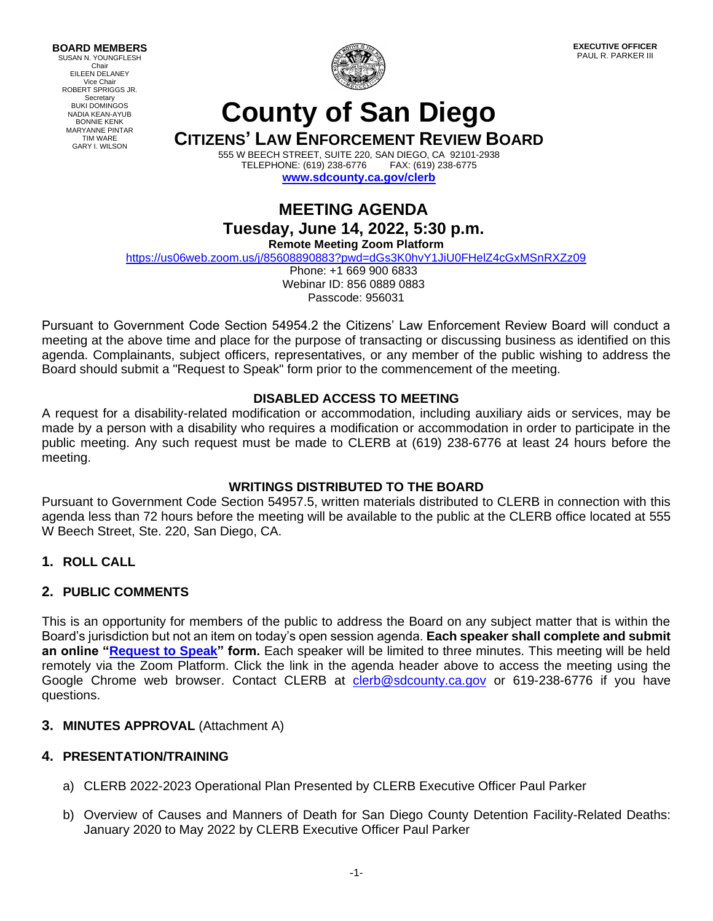**BOARD MEMBERS** SUSAN N. YOUNGFLESH Chair EILEEN DELANEY Vice Chair ROBERT SPRIGGS JR. **Secretary** BUKI DOMINGOS NADIA KEAN-AYUB BONNIE KENK MARYANNE PINTAR TIM WARE GARY I. WILSON



**EXECUTIVE OFFICER** PAUL R. PARKER III

# **County of San Diego**

**CITIZENS' LAW ENFORCEMENT REVIEW BOARD**

555 W BEECH STREET, SUITE 220, SAN DIEGO, CA 92101-2938 TELEPHONE: (619) 238-6776 **[www.sdcounty.ca.gov/clerb](http://www.sdcounty.ca.gov/clerb)**

## **MEETING AGENDA Tuesday, June 14, 2022, 5:30 p.m. Remote Meeting Zoom Platform**

<https://us06web.zoom.us/j/85608890883?pwd=dGs3K0hvY1JiU0FHelZ4cGxMSnRXZz09>

Phone: +1 669 900 6833 Webinar ID: 856 0889 0883 Passcode: 956031

Pursuant to Government Code Section 54954.2 the Citizens' Law Enforcement Review Board will conduct a meeting at the above time and place for the purpose of transacting or discussing business as identified on this agenda. Complainants, subject officers, representatives, or any member of the public wishing to address the Board should submit a "Request to Speak" form prior to the commencement of the meeting.

## **DISABLED ACCESS TO MEETING**

A request for a disability-related modification or accommodation, including auxiliary aids or services, may be made by a person with a disability who requires a modification or accommodation in order to participate in the public meeting. Any such request must be made to CLERB at (619) 238-6776 at least 24 hours before the meeting.

## **WRITINGS DISTRIBUTED TO THE BOARD**

Pursuant to Government Code Section 54957.5, written materials distributed to CLERB in connection with this agenda less than 72 hours before the meeting will be available to the public at the CLERB office located at 555 W Beech Street, Ste. 220, San Diego, CA.

**1. ROLL CALL**

## **2. PUBLIC COMMENTS**

This is an opportunity for members of the public to address the Board on any subject matter that is within the Board's jurisdiction but not an item on today's open session agenda. **Each speaker shall complete and submit an online ["Request to Speak"](https://www.sandiegocounty.gov/content/sdc/clerb/request-to-speak.html) form.** Each speaker will be limited to three minutes. This meeting will be held remotely via the Zoom Platform. Click the link in the agenda header above to access the meeting using the Google Chrome web browser. Contact CLERB at [clerb@sdcounty.ca.gov](mailto:clerb@sdcounty.ca.gov) or 619-238-6776 if you have questions.

## **3. MINUTES APPROVAL** (Attachment A)

## **4. PRESENTATION/TRAINING**

- a) CLERB 2022-2023 Operational Plan Presented by CLERB Executive Officer Paul Parker
- b) Overview of Causes and Manners of Death for San Diego County Detention Facility-Related Deaths: January 2020 to May 2022 by CLERB Executive Officer Paul Parker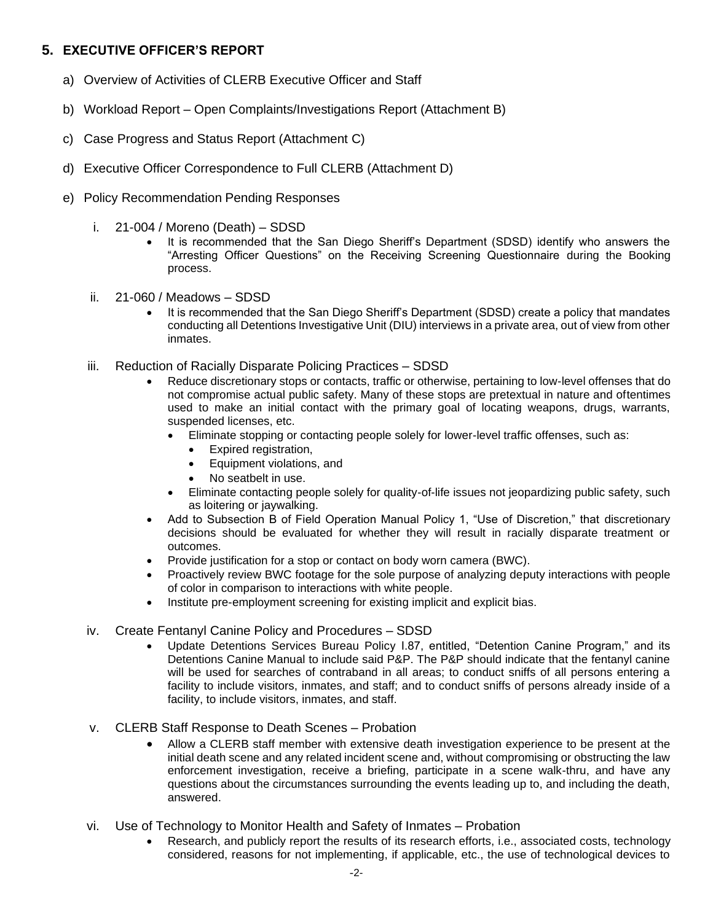## **5. EXECUTIVE OFFICER'S REPORT**

- a) Overview of Activities of CLERB Executive Officer and Staff
- b) Workload Report Open Complaints/Investigations Report (Attachment B)
- c) Case Progress and Status Report (Attachment C)
- d) Executive Officer Correspondence to Full CLERB (Attachment D)
- e) Policy Recommendation Pending Responses
	- i. 21-004 / Moreno (Death) SDSD
		- It is recommended that the San Diego Sheriff's Department (SDSD) identify who answers the "Arresting Officer Questions" on the Receiving Screening Questionnaire during the Booking process.
	- ii. 21-060 / Meadows SDSD
		- It is recommended that the San Diego Sheriff's Department (SDSD) create a policy that mandates conducting all Detentions Investigative Unit (DIU) interviews in a private area, out of view from other inmates.
	- iii. Reduction of Racially Disparate Policing Practices SDSD
		- Reduce discretionary stops or contacts, traffic or otherwise, pertaining to low-level offenses that do not compromise actual public safety. Many of these stops are pretextual in nature and oftentimes used to make an initial contact with the primary goal of locating weapons, drugs, warrants, suspended licenses, etc.
			- Eliminate stopping or contacting people solely for lower-level traffic offenses, such as:
				- Expired registration,
				- Equipment violations, and
				- No seatbelt in use.
			- Eliminate contacting people solely for quality-of-life issues not jeopardizing public safety, such as loitering or jaywalking.
		- Add to Subsection B of Field Operation Manual Policy 1, "Use of Discretion," that discretionary decisions should be evaluated for whether they will result in racially disparate treatment or outcomes.
		- Provide justification for a stop or contact on body worn camera (BWC).
		- Proactively review BWC footage for the sole purpose of analyzing deputy interactions with people of color in comparison to interactions with white people.
		- Institute pre-employment screening for existing implicit and explicit bias.

#### iv. Create Fentanyl Canine Policy and Procedures – SDSD

- Update Detentions Services Bureau Policy I.87, entitled, "Detention Canine Program," and its Detentions Canine Manual to include said P&P. The P&P should indicate that the fentanyl canine will be used for searches of contraband in all areas; to conduct sniffs of all persons entering a facility to include visitors, inmates, and staff; and to conduct sniffs of persons already inside of a facility, to include visitors, inmates, and staff.
- v. CLERB Staff Response to Death Scenes Probation
	- Allow a CLERB staff member with extensive death investigation experience to be present at the initial death scene and any related incident scene and, without compromising or obstructing the law enforcement investigation, receive a briefing, participate in a scene walk-thru, and have any questions about the circumstances surrounding the events leading up to, and including the death, answered.
- vi. Use of Technology to Monitor Health and Safety of Inmates Probation
	- Research, and publicly report the results of its research efforts, i.e., associated costs, technology considered, reasons for not implementing, if applicable, etc., the use of technological devices to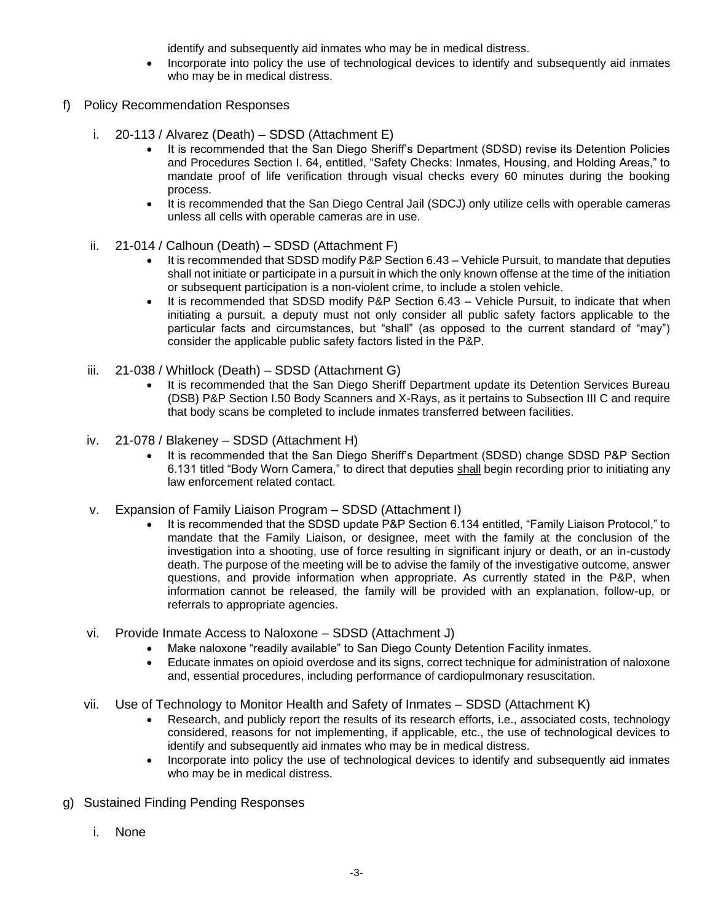identify and subsequently aid inmates who may be in medical distress.

- Incorporate into policy the use of technological devices to identify and subsequently aid inmates who may be in medical distress.
- f) Policy Recommendation Responses
	- i. 20-113 / Alvarez (Death) SDSD (Attachment E)
		- It is recommended that the San Diego Sheriff's Department (SDSD) revise its Detention Policies and Procedures Section I. 64, entitled, "Safety Checks: Inmates, Housing, and Holding Areas," to mandate proof of life verification through visual checks every 60 minutes during the booking process.
		- It is recommended that the San Diego Central Jail (SDCJ) only utilize cells with operable cameras unless all cells with operable cameras are in use.
	- ii. 21-014 / Calhoun (Death) SDSD (Attachment F)
		- It is recommended that SDSD modify P&P Section 6.43 Vehicle Pursuit, to mandate that deputies shall not initiate or participate in a pursuit in which the only known offense at the time of the initiation or subsequent participation is a non-violent crime, to include a stolen vehicle.
		- It is recommended that SDSD modify P&P Section 6.43 Vehicle Pursuit, to indicate that when initiating a pursuit, a deputy must not only consider all public safety factors applicable to the particular facts and circumstances, but "shall" (as opposed to the current standard of "may") consider the applicable public safety factors listed in the P&P.
	- iii. 21-038 / Whitlock (Death) SDSD (Attachment G)
		- It is recommended that the San Diego Sheriff Department update its Detention Services Bureau (DSB) P&P Section I.50 Body Scanners and X-Rays, as it pertains to Subsection III C and require that body scans be completed to include inmates transferred between facilities.
	- iv. 21-078 / Blakeney SDSD (Attachment H)
		- It is recommended that the San Diego Sheriff's Department (SDSD) change SDSD P&P Section 6.131 titled "Body Worn Camera," to direct that deputies shall begin recording prior to initiating any law enforcement related contact.
	- v. Expansion of Family Liaison Program SDSD (Attachment I)
		- It is recommended that the SDSD update P&P Section 6.134 entitled, "Family Liaison Protocol," to mandate that the Family Liaison, or designee, meet with the family at the conclusion of the investigation into a shooting, use of force resulting in significant injury or death, or an in-custody death. The purpose of the meeting will be to advise the family of the investigative outcome, answer questions, and provide information when appropriate. As currently stated in the P&P, when information cannot be released, the family will be provided with an explanation, follow-up, or referrals to appropriate agencies.
	- vi. Provide Inmate Access to Naloxone SDSD (Attachment J)
		- Make naloxone "readily available" to San Diego County Detention Facility inmates.
		- Educate inmates on opioid overdose and its signs, correct technique for administration of naloxone and, essential procedures, including performance of cardiopulmonary resuscitation.
	- vii. Use of Technology to Monitor Health and Safety of Inmates SDSD (Attachment K)
		- Research, and publicly report the results of its research efforts, i.e., associated costs, technology considered, reasons for not implementing, if applicable, etc., the use of technological devices to identify and subsequently aid inmates who may be in medical distress.
		- Incorporate into policy the use of technological devices to identify and subsequently aid inmates who may be in medical distress.
- g) Sustained Finding Pending Responses
	- i. None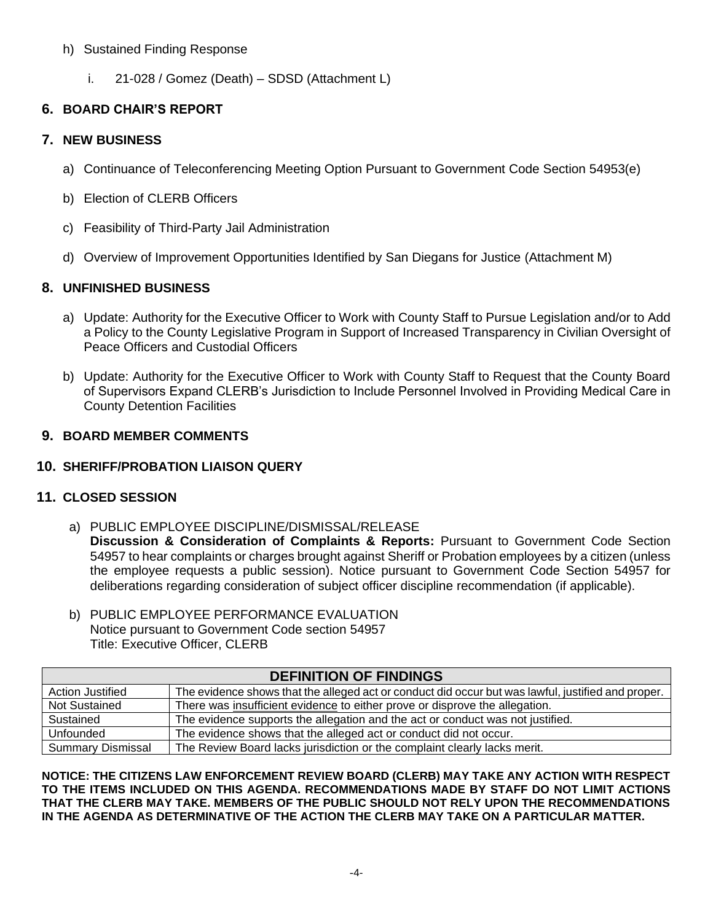#### h) Sustained Finding Response

i. 21-028 / Gomez (Death) – SDSD (Attachment L)

## **6. BOARD CHAIR'S REPORT**

## **7. NEW BUSINESS**

- a) Continuance of Teleconferencing Meeting Option Pursuant to Government Code Section 54953(e)
- b) Election of CLERB Officers
- c) Feasibility of Third-Party Jail Administration
- d) Overview of Improvement Opportunities Identified by San Diegans for Justice (Attachment M)

## **8. UNFINISHED BUSINESS**

- a) Update: Authority for the Executive Officer to Work with County Staff to Pursue Legislation and/or to Add a Policy to the County Legislative Program in Support of Increased Transparency in Civilian Oversight of Peace Officers and Custodial Officers
- b) Update: Authority for the Executive Officer to Work with County Staff to Request that the County Board of Supervisors Expand CLERB's Jurisdiction to Include Personnel Involved in Providing Medical Care in County Detention Facilities

## **9. BOARD MEMBER COMMENTS**

## **10. SHERIFF/PROBATION LIAISON QUERY**

## **11. CLOSED SESSION**

- a) PUBLIC EMPLOYEE DISCIPLINE/DISMISSAL/RELEASE **Discussion & Consideration of Complaints & Reports:** Pursuant to Government Code Section 54957 to hear complaints or charges brought against Sheriff or Probation employees by a citizen (unless the employee requests a public session). Notice pursuant to Government Code Section 54957 for deliberations regarding consideration of subject officer discipline recommendation (if applicable).
- b) PUBLIC EMPLOYEE PERFORMANCE EVALUATION Notice pursuant to Government Code section 54957 Title: Executive Officer, CLERB

| <b>DEFINITION OF FINDINGS</b> |                                                                                                    |
|-------------------------------|----------------------------------------------------------------------------------------------------|
| <b>Action Justified</b>       | The evidence shows that the alleged act or conduct did occur but was lawful, justified and proper. |
| <b>Not Sustained</b>          | There was insufficient evidence to either prove or disprove the allegation.                        |
| Sustained                     | The evidence supports the allegation and the act or conduct was not justified.                     |
| Unfounded                     | The evidence shows that the alleged act or conduct did not occur.                                  |
| <b>Summary Dismissal</b>      | The Review Board lacks jurisdiction or the complaint clearly lacks merit.                          |

**NOTICE: THE CITIZENS LAW ENFORCEMENT REVIEW BOARD (CLERB) MAY TAKE ANY ACTION WITH RESPECT TO THE ITEMS INCLUDED ON THIS AGENDA. RECOMMENDATIONS MADE BY STAFF DO NOT LIMIT ACTIONS THAT THE CLERB MAY TAKE. MEMBERS OF THE PUBLIC SHOULD NOT RELY UPON THE RECOMMENDATIONS IN THE AGENDA AS DETERMINATIVE OF THE ACTION THE CLERB MAY TAKE ON A PARTICULAR MATTER.**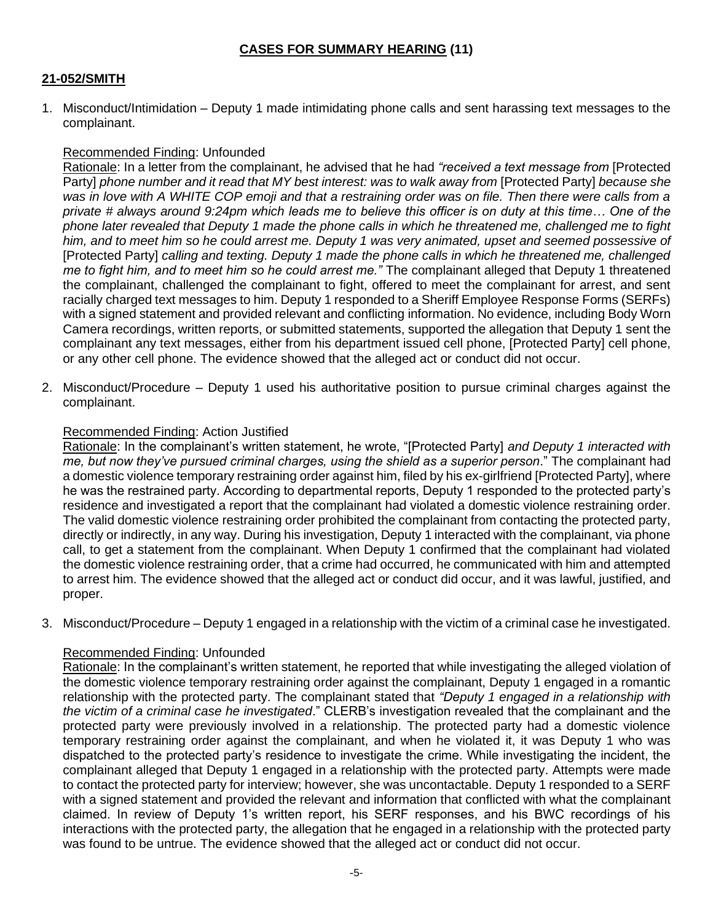## **21-052/SMITH**

1. Misconduct/Intimidation – Deputy 1 made intimidating phone calls and sent harassing text messages to the complainant.

## Recommended Finding: Unfounded

Rationale: In a letter from the complainant, he advised that he had *"received a text message from* [Protected Party] *phone number and it read that MY best interest: was to walk away from* [Protected Party] *because she*  was in love with A WHITE COP emoji and that a restraining order was on file. Then there were calls from a *private # always around 9:24pm which leads me to believe this officer is on duty at this time… One of the phone later revealed that Deputy 1 made the phone calls in which he threatened me, challenged me to fight him, and to meet him so he could arrest me. Deputy 1 was very animated, upset and seemed possessive of*  [Protected Party] *calling and texting. Deputy 1 made the phone calls in which he threatened me, challenged me to fight him, and to meet him so he could arrest me."* The complainant alleged that Deputy 1 threatened the complainant, challenged the complainant to fight, offered to meet the complainant for arrest, and sent racially charged text messages to him. Deputy 1 responded to a Sheriff Employee Response Forms (SERFs) with a signed statement and provided relevant and conflicting information. No evidence, including Body Worn Camera recordings, written reports, or submitted statements, supported the allegation that Deputy 1 sent the complainant any text messages, either from his department issued cell phone, [Protected Party] cell phone, or any other cell phone. The evidence showed that the alleged act or conduct did not occur.

2. Misconduct/Procedure – Deputy 1 used his authoritative position to pursue criminal charges against the complainant.

#### Recommended Finding: Action Justified

Rationale: In the complainant's written statement, he wrote, "[Protected Party] *and Deputy 1 interacted with me, but now they've pursued criminal charges, using the shield as a superior person*." The complainant had a domestic violence temporary restraining order against him, filed by his ex-girlfriend [Protected Party], where he was the restrained party. According to departmental reports, Deputy 1 responded to the protected party's residence and investigated a report that the complainant had violated a domestic violence restraining order. The valid domestic violence restraining order prohibited the complainant from contacting the protected party, directly or indirectly, in any way. During his investigation, Deputy 1 interacted with the complainant, via phone call, to get a statement from the complainant. When Deputy 1 confirmed that the complainant had violated the domestic violence restraining order, that a crime had occurred, he communicated with him and attempted to arrest him. The evidence showed that the alleged act or conduct did occur, and it was lawful, justified, and proper.

3. Misconduct/Procedure – Deputy 1 engaged in a relationship with the victim of a criminal case he investigated.

## Recommended Finding: Unfounded

Rationale: In the complainant's written statement, he reported that while investigating the alleged violation of the domestic violence temporary restraining order against the complainant, Deputy 1 engaged in a romantic relationship with the protected party. The complainant stated that *"Deputy 1 engaged in a relationship with the victim of a criminal case he investigated*." CLERB's investigation revealed that the complainant and the protected party were previously involved in a relationship. The protected party had a domestic violence temporary restraining order against the complainant, and when he violated it, it was Deputy 1 who was dispatched to the protected party's residence to investigate the crime. While investigating the incident, the complainant alleged that Deputy 1 engaged in a relationship with the protected party. Attempts were made to contact the protected party for interview; however, she was uncontactable. Deputy 1 responded to a SERF with a signed statement and provided the relevant and information that conflicted with what the complainant claimed. In review of Deputy 1's written report, his SERF responses, and his BWC recordings of his interactions with the protected party, the allegation that he engaged in a relationship with the protected party was found to be untrue. The evidence showed that the alleged act or conduct did not occur.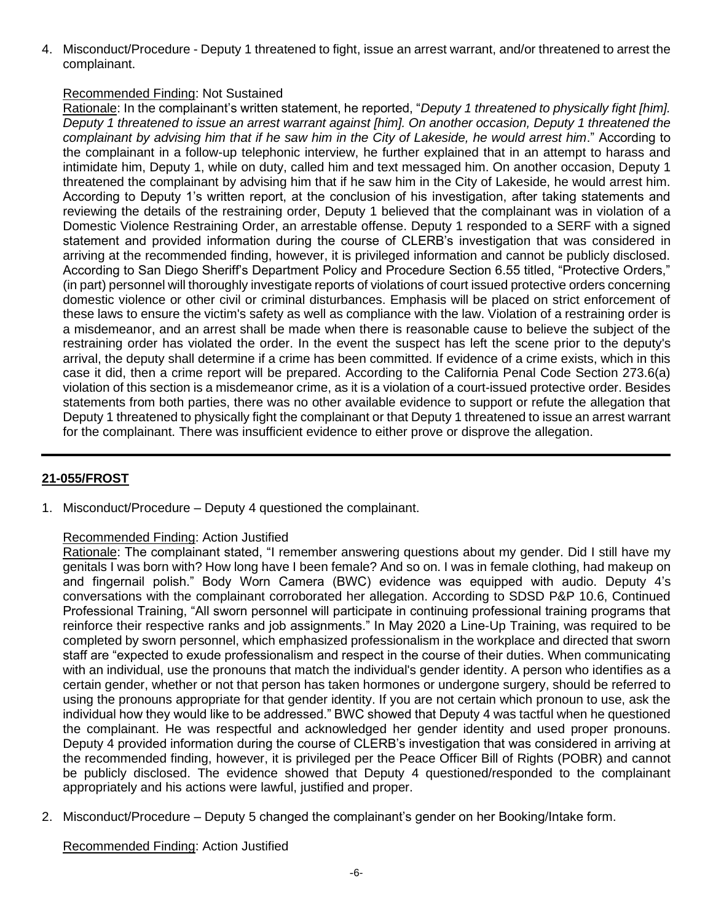4. Misconduct/Procedure - Deputy 1 threatened to fight, issue an arrest warrant, and/or threatened to arrest the complainant.

## Recommended Finding: Not Sustained

Rationale: In the complainant's written statement, he reported, "*Deputy 1 threatened to physically fight [him]. Deputy 1 threatened to issue an arrest warrant against [him]. On another occasion, Deputy 1 threatened the complainant by advising him that if he saw him in the City of Lakeside, he would arrest him*." According to the complainant in a follow-up telephonic interview, he further explained that in an attempt to harass and intimidate him, Deputy 1, while on duty, called him and text messaged him. On another occasion, Deputy 1 threatened the complainant by advising him that if he saw him in the City of Lakeside, he would arrest him. According to Deputy 1's written report, at the conclusion of his investigation, after taking statements and reviewing the details of the restraining order, Deputy 1 believed that the complainant was in violation of a Domestic Violence Restraining Order, an arrestable offense. Deputy 1 responded to a SERF with a signed statement and provided information during the course of CLERB's investigation that was considered in arriving at the recommended finding, however, it is privileged information and cannot be publicly disclosed. According to San Diego Sheriff's Department Policy and Procedure Section 6.55 titled, "Protective Orders," (in part) personnel will thoroughly investigate reports of violations of court issued protective orders concerning domestic violence or other civil or criminal disturbances. Emphasis will be placed on strict enforcement of these laws to ensure the victim's safety as well as compliance with the law. Violation of a restraining order is a misdemeanor, and an arrest shall be made when there is reasonable cause to believe the subject of the restraining order has violated the order. In the event the suspect has left the scene prior to the deputy's arrival, the deputy shall determine if a crime has been committed. If evidence of a crime exists, which in this case it did, then a crime report will be prepared. According to the California Penal Code Section 273.6(a) violation of this section is a misdemeanor crime, as it is a violation of a court-issued protective order. Besides statements from both parties, there was no other available evidence to support or refute the allegation that Deputy 1 threatened to physically fight the complainant or that Deputy 1 threatened to issue an arrest warrant for the complainant. There was insufficient evidence to either prove or disprove the allegation.

## **21-055/FROST**

1. Misconduct/Procedure – Deputy 4 questioned the complainant.

## Recommended Finding: Action Justified

Rationale: The complainant stated, "I remember answering questions about my gender. Did I still have my genitals I was born with? How long have I been female? And so on. I was in female clothing, had makeup on and fingernail polish." Body Worn Camera (BWC) evidence was equipped with audio. Deputy 4's conversations with the complainant corroborated her allegation. According to SDSD P&P 10.6, Continued Professional Training, "All sworn personnel will participate in continuing professional training programs that reinforce their respective ranks and job assignments." In May 2020 a Line-Up Training, was required to be completed by sworn personnel, which emphasized professionalism in the workplace and directed that sworn staff are "expected to exude professionalism and respect in the course of their duties. When communicating with an individual, use the pronouns that match the individual's gender identity. A person who identifies as a certain gender, whether or not that person has taken hormones or undergone surgery, should be referred to using the pronouns appropriate for that gender identity. If you are not certain which pronoun to use, ask the individual how they would like to be addressed." BWC showed that Deputy 4 was tactful when he questioned the complainant. He was respectful and acknowledged her gender identity and used proper pronouns. Deputy 4 provided information during the course of CLERB's investigation that was considered in arriving at the recommended finding, however, it is privileged per the Peace Officer Bill of Rights (POBR) and cannot be publicly disclosed. The evidence showed that Deputy 4 questioned/responded to the complainant appropriately and his actions were lawful, justified and proper.

2. Misconduct/Procedure – Deputy 5 changed the complainant's gender on her Booking/Intake form.

Recommended Finding: Action Justified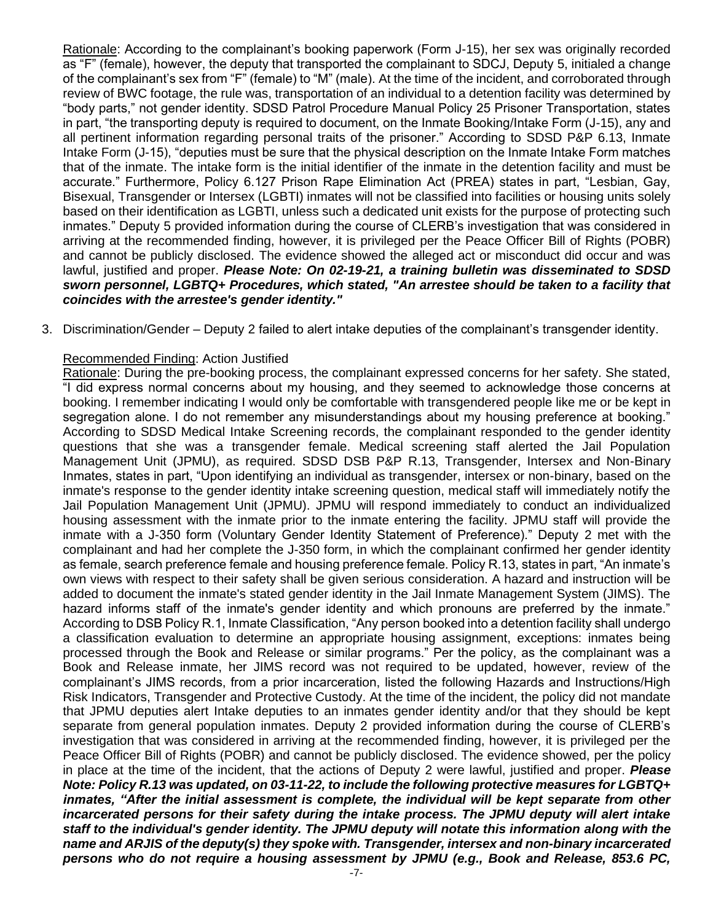Rationale: According to the complainant's booking paperwork (Form J-15), her sex was originally recorded as "F" (female), however, the deputy that transported the complainant to SDCJ, Deputy 5, initialed a change of the complainant's sex from "F" (female) to "M" (male). At the time of the incident, and corroborated through review of BWC footage, the rule was, transportation of an individual to a detention facility was determined by "body parts," not gender identity. SDSD Patrol Procedure Manual Policy 25 Prisoner Transportation, states in part, "the transporting deputy is required to document, on the Inmate Booking/Intake Form (J-15), any and all pertinent information regarding personal traits of the prisoner." According to SDSD P&P 6.13, Inmate Intake Form (J-15), "deputies must be sure that the physical description on the Inmate Intake Form matches that of the inmate. The intake form is the initial identifier of the inmate in the detention facility and must be accurate." Furthermore, Policy 6.127 Prison Rape Elimination Act (PREA) states in part, "Lesbian, Gay, Bisexual, Transgender or Intersex (LGBTI) inmates will not be classified into facilities or housing units solely based on their identification as LGBTI, unless such a dedicated unit exists for the purpose of protecting such inmates." Deputy 5 provided information during the course of CLERB's investigation that was considered in arriving at the recommended finding, however, it is privileged per the Peace Officer Bill of Rights (POBR) and cannot be publicly disclosed. The evidence showed the alleged act or misconduct did occur and was lawful, justified and proper. *Please Note: On 02-19-21, a training bulletin was disseminated to SDSD sworn personnel, LGBTQ+ Procedures, which stated, "An arrestee should be taken to a facility that coincides with the arrestee's gender identity."*

3. Discrimination/Gender – Deputy 2 failed to alert intake deputies of the complainant's transgender identity.

#### Recommended Finding: Action Justified

Rationale: During the pre-booking process, the complainant expressed concerns for her safety. She stated, "I did express normal concerns about my housing, and they seemed to acknowledge those concerns at booking. I remember indicating I would only be comfortable with transgendered people like me or be kept in segregation alone. I do not remember any misunderstandings about my housing preference at booking." According to SDSD Medical Intake Screening records, the complainant responded to the gender identity questions that she was a transgender female. Medical screening staff alerted the Jail Population Management Unit (JPMU), as required. SDSD DSB P&P R.13, Transgender, Intersex and Non-Binary Inmates, states in part, "Upon identifying an individual as transgender, intersex or non-binary, based on the inmate's response to the gender identity intake screening question, medical staff will immediately notify the Jail Population Management Unit (JPMU). JPMU will respond immediately to conduct an individualized housing assessment with the inmate prior to the inmate entering the facility. JPMU staff will provide the inmate with a J-350 form (Voluntary Gender Identity Statement of Preference)." Deputy 2 met with the complainant and had her complete the J-350 form, in which the complainant confirmed her gender identity as female, search preference female and housing preference female. Policy R.13, states in part, "An inmate's own views with respect to their safety shall be given serious consideration. A hazard and instruction will be added to document the inmate's stated gender identity in the Jail Inmate Management System (JIMS). The hazard informs staff of the inmate's gender identity and which pronouns are preferred by the inmate." According to DSB Policy R.1, Inmate Classification, "Any person booked into a detention facility shall undergo a classification evaluation to determine an appropriate housing assignment, exceptions: inmates being processed through the Book and Release or similar programs." Per the policy, as the complainant was a Book and Release inmate, her JIMS record was not required to be updated, however, review of the complainant's JIMS records, from a prior incarceration, listed the following Hazards and Instructions/High Risk Indicators, Transgender and Protective Custody. At the time of the incident, the policy did not mandate that JPMU deputies alert Intake deputies to an inmates gender identity and/or that they should be kept separate from general population inmates. Deputy 2 provided information during the course of CLERB's investigation that was considered in arriving at the recommended finding, however, it is privileged per the Peace Officer Bill of Rights (POBR) and cannot be publicly disclosed. The evidence showed, per the policy in place at the time of the incident, that the actions of Deputy 2 were lawful, justified and proper. *Please Note: Policy R.13 was updated, on 03-11-22, to include the following protective measures for LGBTQ+ inmates, "After the initial assessment is complete, the individual will be kept separate from other incarcerated persons for their safety during the intake process. The JPMU deputy will alert intake staff to the individual's gender identity. The JPMU deputy will notate this information along with the name and ARJIS of the deputy(s) they spoke with. Transgender, intersex and non-binary incarcerated persons who do not require a housing assessment by JPMU (e.g., Book and Release, 853.6 PC,*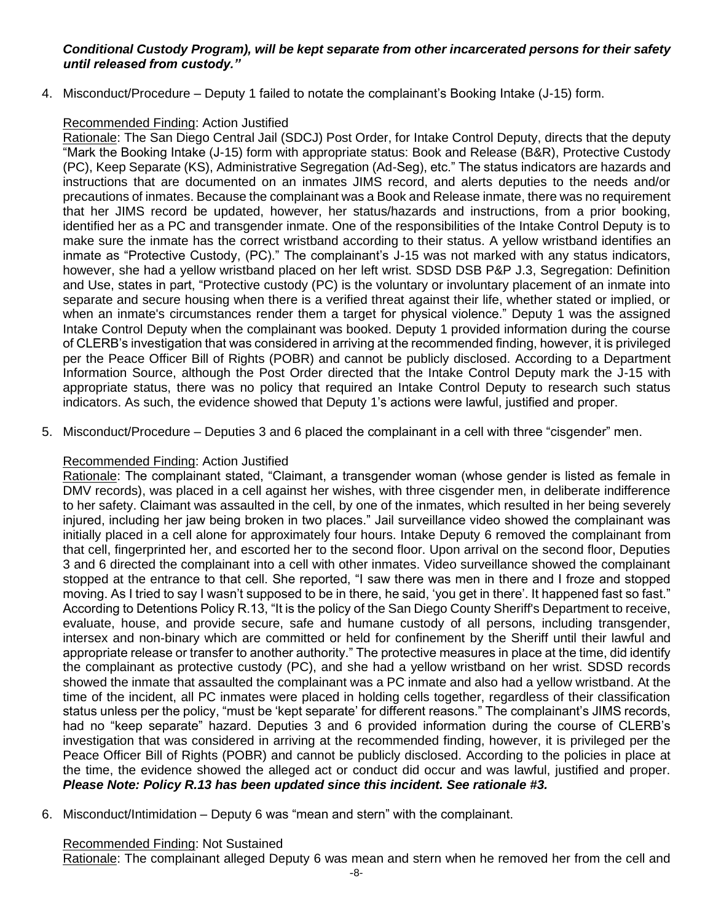#### *Conditional Custody Program), will be kept separate from other incarcerated persons for their safety until released from custody."*

4. Misconduct/Procedure – Deputy 1 failed to notate the complainant's Booking Intake (J-15) form.

#### Recommended Finding: Action Justified

Rationale: The San Diego Central Jail (SDCJ) Post Order, for Intake Control Deputy, directs that the deputy "Mark the Booking Intake (J-15) form with appropriate status: Book and Release (B&R), Protective Custody (PC), Keep Separate (KS), Administrative Segregation (Ad-Seg), etc." The status indicators are hazards and instructions that are documented on an inmates JIMS record, and alerts deputies to the needs and/or precautions of inmates. Because the complainant was a Book and Release inmate, there was no requirement that her JIMS record be updated, however, her status/hazards and instructions, from a prior booking, identified her as a PC and transgender inmate. One of the responsibilities of the Intake Control Deputy is to make sure the inmate has the correct wristband according to their status. A yellow wristband identifies an inmate as "Protective Custody, (PC)." The complainant's J-15 was not marked with any status indicators, however, she had a yellow wristband placed on her left wrist. SDSD DSB P&P J.3, Segregation: Definition and Use, states in part, "Protective custody (PC) is the voluntary or involuntary placement of an inmate into separate and secure housing when there is a verified threat against their life, whether stated or implied, or when an inmate's circumstances render them a target for physical violence." Deputy 1 was the assigned Intake Control Deputy when the complainant was booked. Deputy 1 provided information during the course of CLERB's investigation that was considered in arriving at the recommended finding, however, it is privileged per the Peace Officer Bill of Rights (POBR) and cannot be publicly disclosed. According to a Department Information Source, although the Post Order directed that the Intake Control Deputy mark the J-15 with appropriate status, there was no policy that required an Intake Control Deputy to research such status indicators. As such, the evidence showed that Deputy 1's actions were lawful, justified and proper.

5. Misconduct/Procedure – Deputies 3 and 6 placed the complainant in a cell with three "cisgender" men.

## Recommended Finding: Action Justified

Rationale: The complainant stated, "Claimant, a transgender woman (whose gender is listed as female in DMV records), was placed in a cell against her wishes, with three cisgender men, in deliberate indifference to her safety. Claimant was assaulted in the cell, by one of the inmates, which resulted in her being severely injured, including her jaw being broken in two places." Jail surveillance video showed the complainant was initially placed in a cell alone for approximately four hours. Intake Deputy 6 removed the complainant from that cell, fingerprinted her, and escorted her to the second floor. Upon arrival on the second floor, Deputies 3 and 6 directed the complainant into a cell with other inmates. Video surveillance showed the complainant stopped at the entrance to that cell. She reported, "I saw there was men in there and I froze and stopped moving. As I tried to say I wasn't supposed to be in there, he said, 'you get in there'. It happened fast so fast." According to Detentions Policy R.13, "It is the policy of the San Diego County Sheriff's Department to receive, evaluate, house, and provide secure, safe and humane custody of all persons, including transgender, intersex and non-binary which are committed or held for confinement by the Sheriff until their lawful and appropriate release or transfer to another authority." The protective measures in place at the time, did identify the complainant as protective custody (PC), and she had a yellow wristband on her wrist. SDSD records showed the inmate that assaulted the complainant was a PC inmate and also had a yellow wristband. At the time of the incident, all PC inmates were placed in holding cells together, regardless of their classification status unless per the policy, "must be 'kept separate' for different reasons." The complainant's JIMS records, had no "keep separate" hazard. Deputies 3 and 6 provided information during the course of CLERB's investigation that was considered in arriving at the recommended finding, however, it is privileged per the Peace Officer Bill of Rights (POBR) and cannot be publicly disclosed. According to the policies in place at the time, the evidence showed the alleged act or conduct did occur and was lawful, justified and proper. *Please Note: Policy R.13 has been updated since this incident. See rationale #3.*

6. Misconduct/Intimidation – Deputy 6 was "mean and stern" with the complainant.

#### Recommended Finding: Not Sustained

Rationale: The complainant alleged Deputy 6 was mean and stern when he removed her from the cell and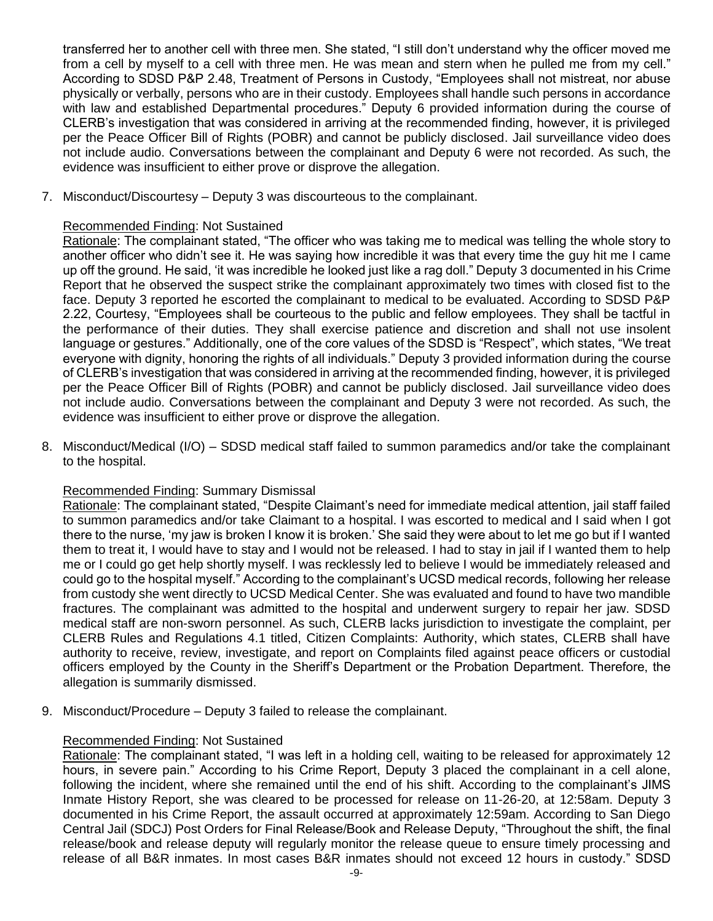transferred her to another cell with three men. She stated, "I still don't understand why the officer moved me from a cell by myself to a cell with three men. He was mean and stern when he pulled me from my cell." According to SDSD P&P 2.48, Treatment of Persons in Custody, "Employees shall not mistreat, nor abuse physically or verbally, persons who are in their custody. Employees shall handle such persons in accordance with law and established Departmental procedures." Deputy 6 provided information during the course of CLERB's investigation that was considered in arriving at the recommended finding, however, it is privileged per the Peace Officer Bill of Rights (POBR) and cannot be publicly disclosed. Jail surveillance video does not include audio. Conversations between the complainant and Deputy 6 were not recorded. As such, the evidence was insufficient to either prove or disprove the allegation.

7. Misconduct/Discourtesy – Deputy 3 was discourteous to the complainant.

#### Recommended Finding: Not Sustained

Rationale: The complainant stated, "The officer who was taking me to medical was telling the whole story to another officer who didn't see it. He was saying how incredible it was that every time the guy hit me I came up off the ground. He said, 'it was incredible he looked just like a rag doll." Deputy 3 documented in his Crime Report that he observed the suspect strike the complainant approximately two times with closed fist to the face. Deputy 3 reported he escorted the complainant to medical to be evaluated. According to SDSD P&P 2.22, Courtesy, "Employees shall be courteous to the public and fellow employees. They shall be tactful in the performance of their duties. They shall exercise patience and discretion and shall not use insolent language or gestures." Additionally, one of the core values of the SDSD is "Respect", which states, "We treat everyone with dignity, honoring the rights of all individuals." Deputy 3 provided information during the course of CLERB's investigation that was considered in arriving at the recommended finding, however, it is privileged per the Peace Officer Bill of Rights (POBR) and cannot be publicly disclosed. Jail surveillance video does not include audio. Conversations between the complainant and Deputy 3 were not recorded. As such, the evidence was insufficient to either prove or disprove the allegation.

8. Misconduct/Medical (I/O) – SDSD medical staff failed to summon paramedics and/or take the complainant to the hospital.

#### Recommended Finding: Summary Dismissal

Rationale: The complainant stated, "Despite Claimant's need for immediate medical attention, jail staff failed to summon paramedics and/or take Claimant to a hospital. I was escorted to medical and I said when I got there to the nurse, 'my jaw is broken I know it is broken.' She said they were about to let me go but if I wanted them to treat it, I would have to stay and I would not be released. I had to stay in jail if I wanted them to help me or I could go get help shortly myself. I was recklessly led to believe I would be immediately released and could go to the hospital myself." According to the complainant's UCSD medical records, following her release from custody she went directly to UCSD Medical Center. She was evaluated and found to have two mandible fractures. The complainant was admitted to the hospital and underwent surgery to repair her jaw. SDSD medical staff are non-sworn personnel. As such, CLERB lacks jurisdiction to investigate the complaint, per CLERB Rules and Regulations 4.1 titled, Citizen Complaints: Authority, which states, CLERB shall have authority to receive, review, investigate, and report on Complaints filed against peace officers or custodial officers employed by the County in the Sheriff's Department or the Probation Department. Therefore, the allegation is summarily dismissed.

9. Misconduct/Procedure – Deputy 3 failed to release the complainant.

#### Recommended Finding: Not Sustained

Rationale: The complainant stated, "I was left in a holding cell, waiting to be released for approximately 12 hours, in severe pain." According to his Crime Report, Deputy 3 placed the complainant in a cell alone, following the incident, where she remained until the end of his shift. According to the complainant's JIMS Inmate History Report, she was cleared to be processed for release on 11-26-20, at 12:58am. Deputy 3 documented in his Crime Report, the assault occurred at approximately 12:59am. According to San Diego Central Jail (SDCJ) Post Orders for Final Release/Book and Release Deputy, "Throughout the shift, the final release/book and release deputy will regularly monitor the release queue to ensure timely processing and release of all B&R inmates. In most cases B&R inmates should not exceed 12 hours in custody." SDSD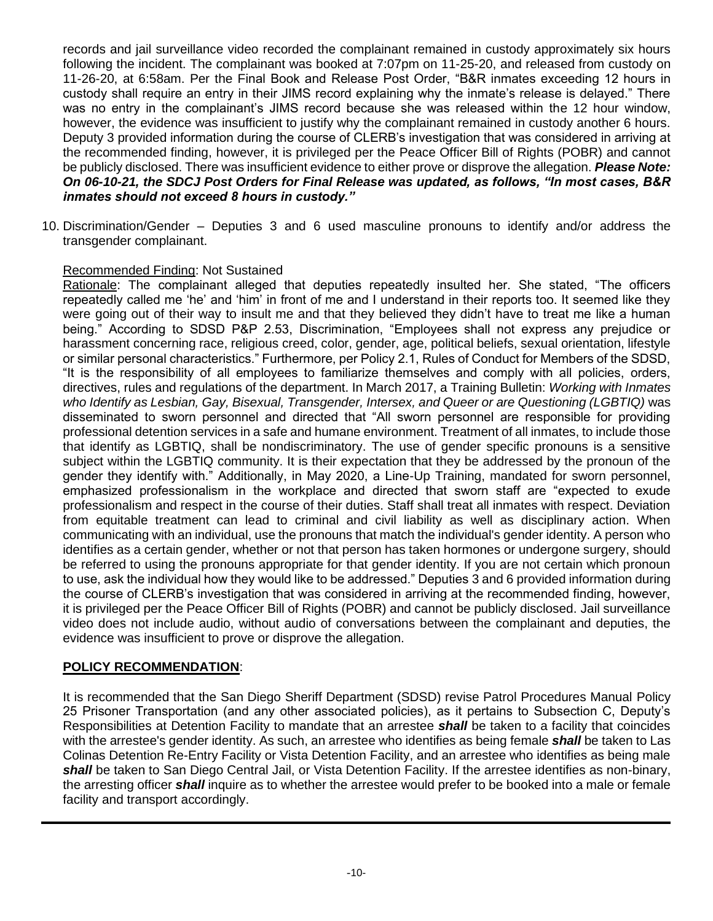records and jail surveillance video recorded the complainant remained in custody approximately six hours following the incident. The complainant was booked at 7:07pm on 11-25-20, and released from custody on 11-26-20, at 6:58am. Per the Final Book and Release Post Order, "B&R inmates exceeding 12 hours in custody shall require an entry in their JIMS record explaining why the inmate's release is delayed." There was no entry in the complainant's JIMS record because she was released within the 12 hour window, however, the evidence was insufficient to justify why the complainant remained in custody another 6 hours. Deputy 3 provided information during the course of CLERB's investigation that was considered in arriving at the recommended finding, however, it is privileged per the Peace Officer Bill of Rights (POBR) and cannot be publicly disclosed. There was insufficient evidence to either prove or disprove the allegation. *Please Note: On 06-10-21, the SDCJ Post Orders for Final Release was updated, as follows, "In most cases, B&R inmates should not exceed 8 hours in custody."*

10. Discrimination/Gender – Deputies 3 and 6 used masculine pronouns to identify and/or address the transgender complainant.

#### Recommended Finding: Not Sustained

Rationale: The complainant alleged that deputies repeatedly insulted her. She stated, "The officers repeatedly called me 'he' and 'him' in front of me and I understand in their reports too. It seemed like they were going out of their way to insult me and that they believed they didn't have to treat me like a human being." According to SDSD P&P 2.53, Discrimination, "Employees shall not express any prejudice or harassment concerning race, religious creed, color, gender, age, political beliefs, sexual orientation, lifestyle or similar personal characteristics." Furthermore, per Policy 2.1, Rules of Conduct for Members of the SDSD, "It is the responsibility of all employees to familiarize themselves and comply with all policies, orders, directives, rules and regulations of the department. In March 2017, a Training Bulletin: *Working with Inmates who Identify as Lesbian, Gay, Bisexual, Transgender, Intersex, and Queer or are Questioning (LGBTIQ)* was disseminated to sworn personnel and directed that "All sworn personnel are responsible for providing professional detention services in a safe and humane environment. Treatment of all inmates, to include those that identify as LGBTIQ, shall be nondiscriminatory. The use of gender specific pronouns is a sensitive subject within the LGBTIQ community. It is their expectation that they be addressed by the pronoun of the gender they identify with." Additionally, in May 2020, a Line-Up Training, mandated for sworn personnel, emphasized professionalism in the workplace and directed that sworn staff are "expected to exude professionalism and respect in the course of their duties. Staff shall treat all inmates with respect. Deviation from equitable treatment can lead to criminal and civil liability as well as disciplinary action. When communicating with an individual, use the pronouns that match the individual's gender identity. A person who identifies as a certain gender, whether or not that person has taken hormones or undergone surgery, should be referred to using the pronouns appropriate for that gender identity. If you are not certain which pronoun to use, ask the individual how they would like to be addressed." Deputies 3 and 6 provided information during the course of CLERB's investigation that was considered in arriving at the recommended finding, however, it is privileged per the Peace Officer Bill of Rights (POBR) and cannot be publicly disclosed. Jail surveillance video does not include audio, without audio of conversations between the complainant and deputies, the evidence was insufficient to prove or disprove the allegation.

## **POLICY RECOMMENDATION**:

It is recommended that the San Diego Sheriff Department (SDSD) revise Patrol Procedures Manual Policy 25 Prisoner Transportation (and any other associated policies), as it pertains to Subsection C, Deputy's Responsibilities at Detention Facility to mandate that an arrestee *shall* be taken to a facility that coincides with the arrestee's gender identity. As such, an arrestee who identifies as being female *shall* be taken to Las Colinas Detention Re-Entry Facility or Vista Detention Facility, and an arrestee who identifies as being male *shall* be taken to San Diego Central Jail, or Vista Detention Facility. If the arrestee identifies as non-binary, the arresting officer *shall* inquire as to whether the arrestee would prefer to be booked into a male or female facility and transport accordingly.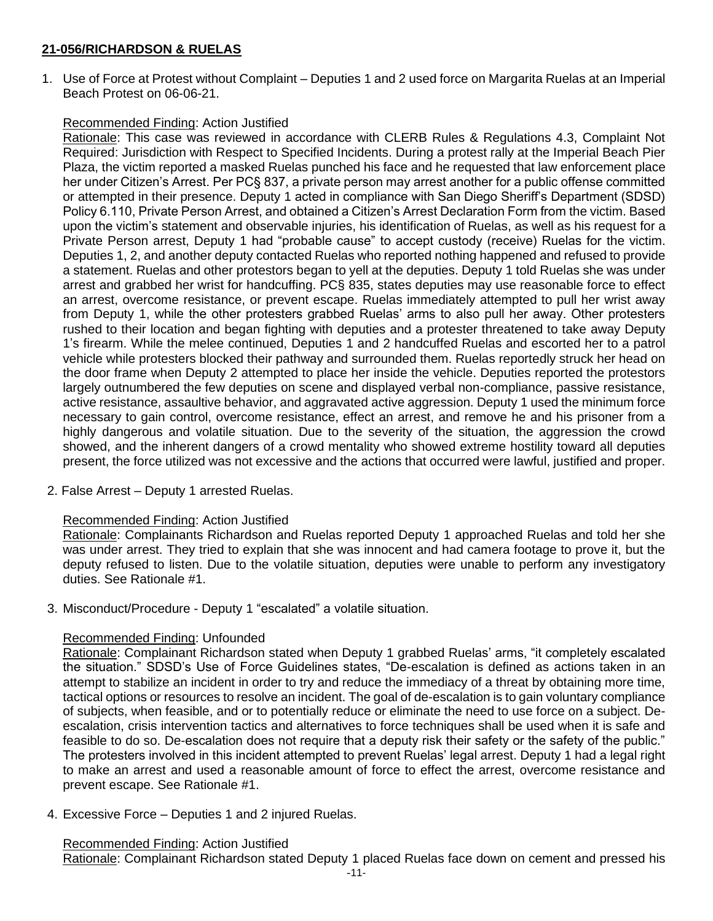#### **21-056/RICHARDSON & RUELAS**

1. Use of Force at Protest without Complaint – Deputies 1 and 2 used force on Margarita Ruelas at an Imperial Beach Protest on 06-06-21.

#### Recommended Finding: Action Justified

Rationale: This case was reviewed in accordance with CLERB Rules & Regulations 4.3, Complaint Not Required: Jurisdiction with Respect to Specified Incidents. During a protest rally at the Imperial Beach Pier Plaza, the victim reported a masked Ruelas punched his face and he requested that law enforcement place her under Citizen's Arrest. Per PC§ 837, a private person may arrest another for a public offense committed or attempted in their presence. Deputy 1 acted in compliance with San Diego Sheriff's Department (SDSD) Policy 6.110, Private Person Arrest, and obtained a Citizen's Arrest Declaration Form from the victim. Based upon the victim's statement and observable injuries, his identification of Ruelas, as well as his request for a Private Person arrest, Deputy 1 had "probable cause" to accept custody (receive) Ruelas for the victim. Deputies 1, 2, and another deputy contacted Ruelas who reported nothing happened and refused to provide a statement. Ruelas and other protestors began to yell at the deputies. Deputy 1 told Ruelas she was under arrest and grabbed her wrist for handcuffing. PC§ 835, states deputies may use reasonable force to effect an arrest, overcome resistance, or prevent escape. Ruelas immediately attempted to pull her wrist away from Deputy 1, while the other protesters grabbed Ruelas' arms to also pull her away. Other protesters rushed to their location and began fighting with deputies and a protester threatened to take away Deputy 1's firearm. While the melee continued, Deputies 1 and 2 handcuffed Ruelas and escorted her to a patrol vehicle while protesters blocked their pathway and surrounded them. Ruelas reportedly struck her head on the door frame when Deputy 2 attempted to place her inside the vehicle. Deputies reported the protestors largely outnumbered the few deputies on scene and displayed verbal non-compliance, passive resistance, active resistance, assaultive behavior, and aggravated active aggression. Deputy 1 used the minimum force necessary to gain control, overcome resistance, effect an arrest, and remove he and his prisoner from a highly dangerous and volatile situation. Due to the severity of the situation, the aggression the crowd showed, and the inherent dangers of a crowd mentality who showed extreme hostility toward all deputies present, the force utilized was not excessive and the actions that occurred were lawful, justified and proper.

2. False Arrest – Deputy 1 arrested Ruelas.

#### Recommended Finding: Action Justified

Rationale: Complainants Richardson and Ruelas reported Deputy 1 approached Ruelas and told her she was under arrest. They tried to explain that she was innocent and had camera footage to prove it, but the deputy refused to listen. Due to the volatile situation, deputies were unable to perform any investigatory duties. See Rationale #1.

3. Misconduct/Procedure - Deputy 1 "escalated" a volatile situation.

#### Recommended Finding: Unfounded

Rationale: Complainant Richardson stated when Deputy 1 grabbed Ruelas' arms, "it completely escalated the situation." SDSD's Use of Force Guidelines states, "De-escalation is defined as actions taken in an attempt to stabilize an incident in order to try and reduce the immediacy of a threat by obtaining more time, tactical options or resources to resolve an incident. The goal of de-escalation is to gain voluntary compliance of subjects, when feasible, and or to potentially reduce or eliminate the need to use force on a subject. Deescalation, crisis intervention tactics and alternatives to force techniques shall be used when it is safe and feasible to do so. De-escalation does not require that a deputy risk their safety or the safety of the public." The protesters involved in this incident attempted to prevent Ruelas' legal arrest. Deputy 1 had a legal right to make an arrest and used a reasonable amount of force to effect the arrest, overcome resistance and prevent escape. See Rationale #1.

4. Excessive Force – Deputies 1 and 2 injured Ruelas.

#### Recommended Finding: Action Justified

Rationale: Complainant Richardson stated Deputy 1 placed Ruelas face down on cement and pressed his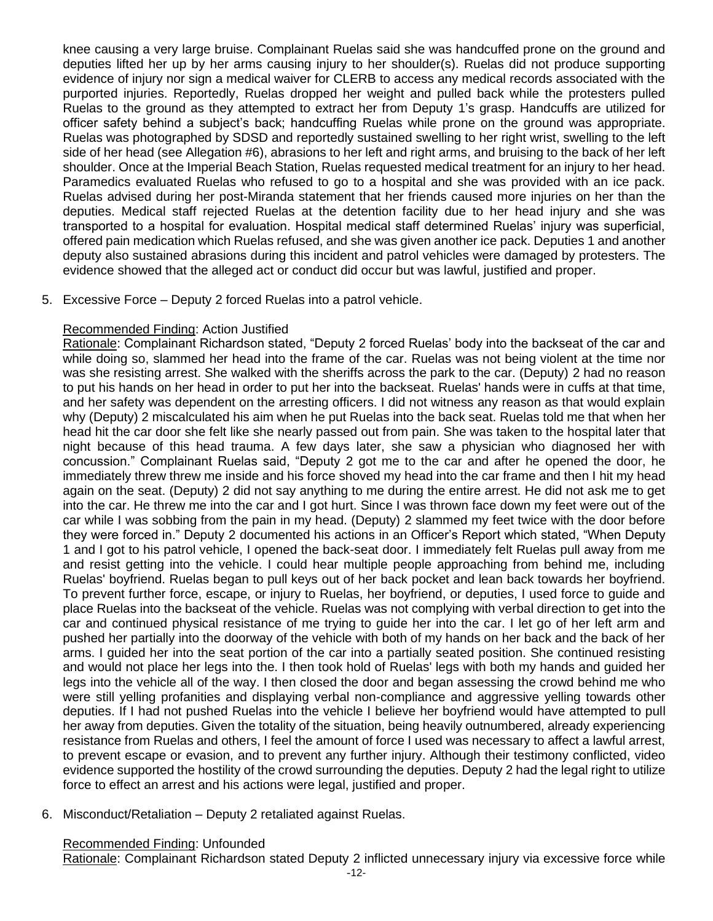knee causing a very large bruise. Complainant Ruelas said she was handcuffed prone on the ground and deputies lifted her up by her arms causing injury to her shoulder(s). Ruelas did not produce supporting evidence of injury nor sign a medical waiver for CLERB to access any medical records associated with the purported injuries. Reportedly, Ruelas dropped her weight and pulled back while the protesters pulled Ruelas to the ground as they attempted to extract her from Deputy 1's grasp. Handcuffs are utilized for officer safety behind a subject's back; handcuffing Ruelas while prone on the ground was appropriate. Ruelas was photographed by SDSD and reportedly sustained swelling to her right wrist, swelling to the left side of her head (see Allegation #6), abrasions to her left and right arms, and bruising to the back of her left shoulder. Once at the Imperial Beach Station, Ruelas requested medical treatment for an injury to her head. Paramedics evaluated Ruelas who refused to go to a hospital and she was provided with an ice pack. Ruelas advised during her post-Miranda statement that her friends caused more injuries on her than the deputies. Medical staff rejected Ruelas at the detention facility due to her head injury and she was transported to a hospital for evaluation. Hospital medical staff determined Ruelas' injury was superficial, offered pain medication which Ruelas refused, and she was given another ice pack. Deputies 1 and another deputy also sustained abrasions during this incident and patrol vehicles were damaged by protesters. The evidence showed that the alleged act or conduct did occur but was lawful, justified and proper.

5. Excessive Force – Deputy 2 forced Ruelas into a patrol vehicle.

#### Recommended Finding: Action Justified

Rationale: Complainant Richardson stated, "Deputy 2 forced Ruelas' body into the backseat of the car and while doing so, slammed her head into the frame of the car. Ruelas was not being violent at the time nor was she resisting arrest. She walked with the sheriffs across the park to the car. (Deputy) 2 had no reason to put his hands on her head in order to put her into the backseat. Ruelas' hands were in cuffs at that time, and her safety was dependent on the arresting officers. I did not witness any reason as that would explain why (Deputy) 2 miscalculated his aim when he put Ruelas into the back seat. Ruelas told me that when her head hit the car door she felt like she nearly passed out from pain. She was taken to the hospital later that night because of this head trauma. A few days later, she saw a physician who diagnosed her with concussion." Complainant Ruelas said, "Deputy 2 got me to the car and after he opened the door, he immediately threw threw me inside and his force shoved my head into the car frame and then I hit my head again on the seat. (Deputy) 2 did not say anything to me during the entire arrest. He did not ask me to get into the car. He threw me into the car and I got hurt. Since I was thrown face down my feet were out of the car while I was sobbing from the pain in my head. (Deputy) 2 slammed my feet twice with the door before they were forced in." Deputy 2 documented his actions in an Officer's Report which stated, "When Deputy 1 and I got to his patrol vehicle, I opened the back-seat door. I immediately felt Ruelas pull away from me and resist getting into the vehicle. I could hear multiple people approaching from behind me, including Ruelas' boyfriend. Ruelas began to pull keys out of her back pocket and lean back towards her boyfriend. To prevent further force, escape, or injury to Ruelas, her boyfriend, or deputies, I used force to guide and place Ruelas into the backseat of the vehicle. Ruelas was not complying with verbal direction to get into the car and continued physical resistance of me trying to guide her into the car. I let go of her left arm and pushed her partially into the doorway of the vehicle with both of my hands on her back and the back of her arms. I guided her into the seat portion of the car into a partially seated position. She continued resisting and would not place her legs into the. I then took hold of Ruelas' legs with both my hands and guided her legs into the vehicle all of the way. I then closed the door and began assessing the crowd behind me who were still yelling profanities and displaying verbal non-compliance and aggressive yelling towards other deputies. If I had not pushed Ruelas into the vehicle I believe her boyfriend would have attempted to pull her away from deputies. Given the totality of the situation, being heavily outnumbered, already experiencing resistance from Ruelas and others, I feel the amount of force I used was necessary to affect a lawful arrest, to prevent escape or evasion, and to prevent any further injury. Although their testimony conflicted, video evidence supported the hostility of the crowd surrounding the deputies. Deputy 2 had the legal right to utilize force to effect an arrest and his actions were legal, justified and proper.

6. Misconduct/Retaliation – Deputy 2 retaliated against Ruelas.

#### Recommended Finding: Unfounded

Rationale: Complainant Richardson stated Deputy 2 inflicted unnecessary injury via excessive force while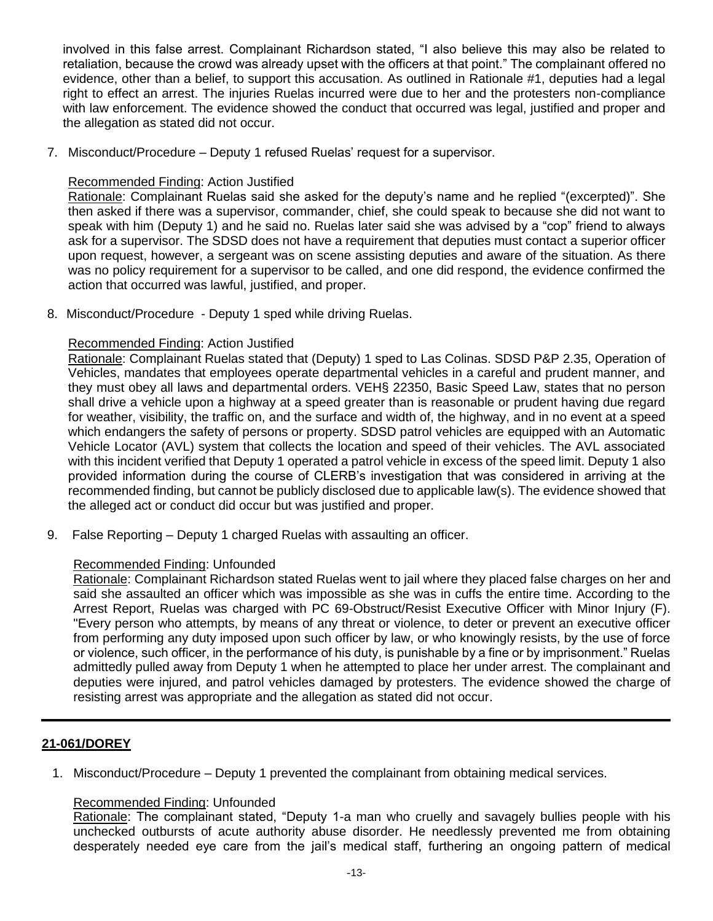involved in this false arrest. Complainant Richardson stated, "I also believe this may also be related to retaliation, because the crowd was already upset with the officers at that point." The complainant offered no evidence, other than a belief, to support this accusation. As outlined in Rationale #1, deputies had a legal right to effect an arrest. The injuries Ruelas incurred were due to her and the protesters non-compliance with law enforcement. The evidence showed the conduct that occurred was legal, justified and proper and the allegation as stated did not occur.

7. Misconduct/Procedure – Deputy 1 refused Ruelas' request for a supervisor.

#### Recommended Finding: Action Justified

Rationale: Complainant Ruelas said she asked for the deputy's name and he replied "(excerpted)". She then asked if there was a supervisor, commander, chief, she could speak to because she did not want to speak with him (Deputy 1) and he said no. Ruelas later said she was advised by a "cop" friend to always ask for a supervisor. The SDSD does not have a requirement that deputies must contact a superior officer upon request, however, a sergeant was on scene assisting deputies and aware of the situation. As there was no policy requirement for a supervisor to be called, and one did respond, the evidence confirmed the action that occurred was lawful, justified, and proper.

8. Misconduct/Procedure - Deputy 1 sped while driving Ruelas.

#### Recommended Finding: Action Justified

Rationale: Complainant Ruelas stated that (Deputy) 1 sped to Las Colinas. SDSD P&P 2.35, Operation of Vehicles, mandates that employees operate departmental vehicles in a careful and prudent manner, and they must obey all laws and departmental orders. VEH§ 22350, Basic Speed Law, states that no person shall drive a vehicle upon a highway at a speed greater than is reasonable or prudent having due regard for weather, visibility, the traffic on, and the surface and width of, the highway, and in no event at a speed which endangers the safety of persons or property. SDSD patrol vehicles are equipped with an Automatic Vehicle Locator (AVL) system that collects the location and speed of their vehicles. The AVL associated with this incident verified that Deputy 1 operated a patrol vehicle in excess of the speed limit. Deputy 1 also provided information during the course of CLERB's investigation that was considered in arriving at the recommended finding, but cannot be publicly disclosed due to applicable law(s). The evidence showed that the alleged act or conduct did occur but was justified and proper.

9. False Reporting – Deputy 1 charged Ruelas with assaulting an officer.

#### Recommended Finding: Unfounded

Rationale: Complainant Richardson stated Ruelas went to jail where they placed false charges on her and said she assaulted an officer which was impossible as she was in cuffs the entire time. According to the Arrest Report, Ruelas was charged with PC 69-Obstruct/Resist Executive Officer with Minor Injury (F). "Every person who attempts, by means of any threat or violence, to deter or prevent an executive officer from performing any duty imposed upon such officer by law, or who knowingly resists, by the use of force or violence, such officer, in the performance of his duty, is punishable by a fine or by imprisonment." Ruelas admittedly pulled away from Deputy 1 when he attempted to place her under arrest. The complainant and deputies were injured, and patrol vehicles damaged by protesters. The evidence showed the charge of resisting arrest was appropriate and the allegation as stated did not occur.

## **21-061/DOREY**

1. Misconduct/Procedure – Deputy 1 prevented the complainant from obtaining medical services.

## Recommended Finding: Unfounded

Rationale: The complainant stated, "Deputy 1-a man who cruelly and savagely bullies people with his unchecked outbursts of acute authority abuse disorder. He needlessly prevented me from obtaining desperately needed eye care from the jail's medical staff, furthering an ongoing pattern of medical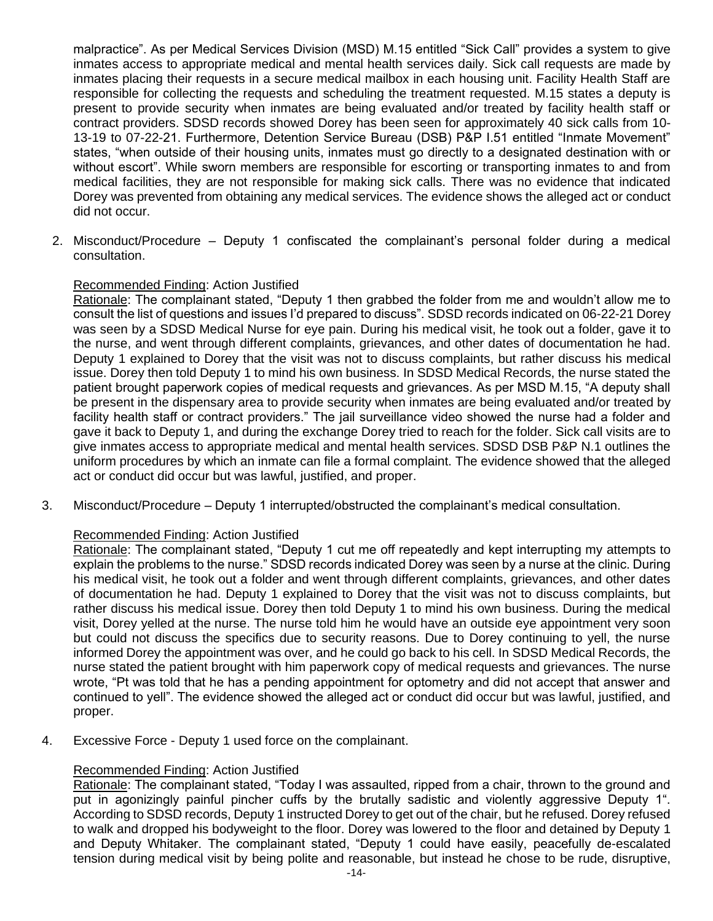malpractice". As per Medical Services Division (MSD) M.15 entitled "Sick Call" provides a system to give inmates access to appropriate medical and mental health services daily. Sick call requests are made by inmates placing their requests in a secure medical mailbox in each housing unit. Facility Health Staff are responsible for collecting the requests and scheduling the treatment requested. M.15 states a deputy is present to provide security when inmates are being evaluated and/or treated by facility health staff or contract providers. SDSD records showed Dorey has been seen for approximately 40 sick calls from 10- 13-19 to 07-22-21. Furthermore, Detention Service Bureau (DSB) P&P I.51 entitled "Inmate Movement" states, "when outside of their housing units, inmates must go directly to a designated destination with or without escort". While sworn members are responsible for escorting or transporting inmates to and from medical facilities, they are not responsible for making sick calls. There was no evidence that indicated Dorey was prevented from obtaining any medical services. The evidence shows the alleged act or conduct did not occur.

2. Misconduct/Procedure – Deputy 1 confiscated the complainant's personal folder during a medical consultation.

#### Recommended Finding: Action Justified

Rationale: The complainant stated, "Deputy 1 then grabbed the folder from me and wouldn't allow me to consult the list of questions and issues I'd prepared to discuss". SDSD records indicated on 06-22-21 Dorey was seen by a SDSD Medical Nurse for eye pain. During his medical visit, he took out a folder, gave it to the nurse, and went through different complaints, grievances, and other dates of documentation he had. Deputy 1 explained to Dorey that the visit was not to discuss complaints, but rather discuss his medical issue. Dorey then told Deputy 1 to mind his own business. In SDSD Medical Records, the nurse stated the patient brought paperwork copies of medical requests and grievances. As per MSD M.15, "A deputy shall be present in the dispensary area to provide security when inmates are being evaluated and/or treated by facility health staff or contract providers." The jail surveillance video showed the nurse had a folder and gave it back to Deputy 1, and during the exchange Dorey tried to reach for the folder. Sick call visits are to give inmates access to appropriate medical and mental health services. SDSD DSB P&P N.1 outlines the uniform procedures by which an inmate can file a formal complaint. The evidence showed that the alleged act or conduct did occur but was lawful, justified, and proper.

3. Misconduct/Procedure – Deputy 1 interrupted/obstructed the complainant's medical consultation.

#### Recommended Finding: Action Justified

Rationale: The complainant stated, "Deputy 1 cut me off repeatedly and kept interrupting my attempts to explain the problems to the nurse." SDSD records indicated Dorey was seen by a nurse at the clinic. During his medical visit, he took out a folder and went through different complaints, grievances, and other dates of documentation he had. Deputy 1 explained to Dorey that the visit was not to discuss complaints, but rather discuss his medical issue. Dorey then told Deputy 1 to mind his own business. During the medical visit, Dorey yelled at the nurse. The nurse told him he would have an outside eye appointment very soon but could not discuss the specifics due to security reasons. Due to Dorey continuing to yell, the nurse informed Dorey the appointment was over, and he could go back to his cell. In SDSD Medical Records, the nurse stated the patient brought with him paperwork copy of medical requests and grievances. The nurse wrote, "Pt was told that he has a pending appointment for optometry and did not accept that answer and continued to yell". The evidence showed the alleged act or conduct did occur but was lawful, justified, and proper.

4. Excessive Force - Deputy 1 used force on the complainant.

#### Recommended Finding: Action Justified

Rationale: The complainant stated, "Today I was assaulted, ripped from a chair, thrown to the ground and put in agonizingly painful pincher cuffs by the brutally sadistic and violently aggressive Deputy 1". According to SDSD records, Deputy 1 instructed Dorey to get out of the chair, but he refused. Dorey refused to walk and dropped his bodyweight to the floor. Dorey was lowered to the floor and detained by Deputy 1 and Deputy Whitaker. The complainant stated, "Deputy 1 could have easily, peacefully de-escalated tension during medical visit by being polite and reasonable, but instead he chose to be rude, disruptive,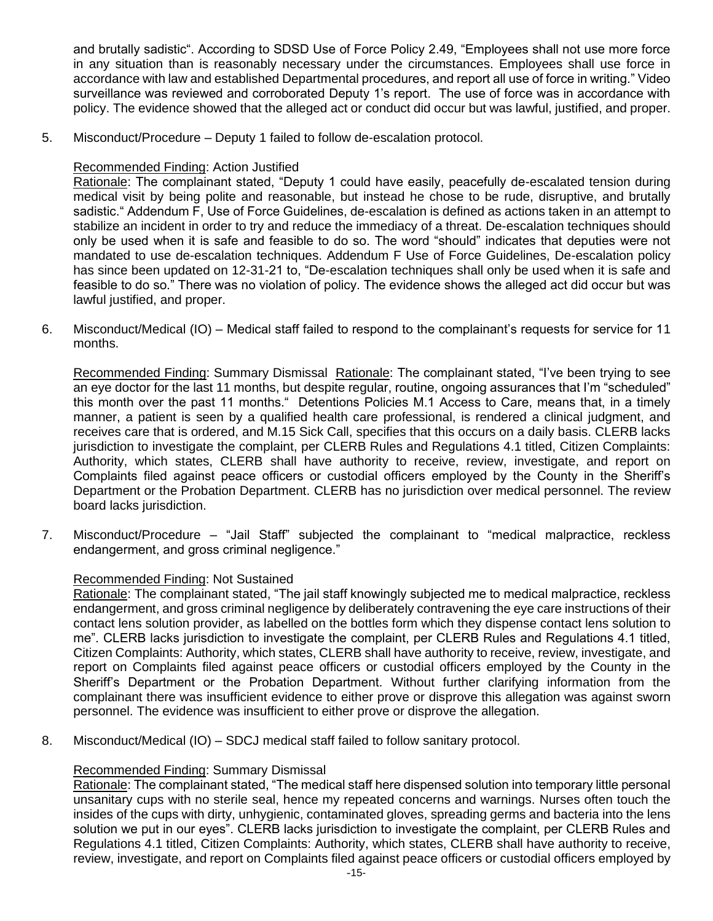and brutally sadistic". According to SDSD Use of Force Policy 2.49, "Employees shall not use more force in any situation than is reasonably necessary under the circumstances. Employees shall use force in accordance with law and established Departmental procedures, and report all use of force in writing." Video surveillance was reviewed and corroborated Deputy 1's report. The use of force was in accordance with policy. The evidence showed that the alleged act or conduct did occur but was lawful, justified, and proper.

5. Misconduct/Procedure – Deputy 1 failed to follow de-escalation protocol.

## Recommended Finding: Action Justified

Rationale: The complainant stated, "Deputy 1 could have easily, peacefully de-escalated tension during medical visit by being polite and reasonable, but instead he chose to be rude, disruptive, and brutally sadistic." Addendum F, Use of Force Guidelines, de-escalation is defined as actions taken in an attempt to stabilize an incident in order to try and reduce the immediacy of a threat. De-escalation techniques should only be used when it is safe and feasible to do so. The word "should" indicates that deputies were not mandated to use de-escalation techniques. Addendum F Use of Force Guidelines, De-escalation policy has since been updated on 12-31-21 to, "De-escalation techniques shall only be used when it is safe and feasible to do so." There was no violation of policy. The evidence shows the alleged act did occur but was lawful justified, and proper.

6. Misconduct/Medical (IO) – Medical staff failed to respond to the complainant's requests for service for 11 months.

Recommended Finding: Summary Dismissal Rationale: The complainant stated, "I've been trying to see an eye doctor for the last 11 months, but despite regular, routine, ongoing assurances that I'm "scheduled" this month over the past 11 months." Detentions Policies M.1 Access to Care, means that, in a timely manner, a patient is seen by a qualified health care professional, is rendered a clinical judgment, and receives care that is ordered, and M.15 Sick Call, specifies that this occurs on a daily basis. CLERB lacks jurisdiction to investigate the complaint, per CLERB Rules and Regulations 4.1 titled, Citizen Complaints: Authority, which states, CLERB shall have authority to receive, review, investigate, and report on Complaints filed against peace officers or custodial officers employed by the County in the Sheriff's Department or the Probation Department. CLERB has no jurisdiction over medical personnel. The review board lacks jurisdiction.

7. Misconduct/Procedure – "Jail Staff" subjected the complainant to "medical malpractice, reckless endangerment, and gross criminal negligence."

## Recommended Finding: Not Sustained

Rationale: The complainant stated, "The jail staff knowingly subjected me to medical malpractice, reckless endangerment, and gross criminal negligence by deliberately contravening the eye care instructions of their contact lens solution provider, as labelled on the bottles form which they dispense contact lens solution to me". CLERB lacks jurisdiction to investigate the complaint, per CLERB Rules and Regulations 4.1 titled, Citizen Complaints: Authority, which states, CLERB shall have authority to receive, review, investigate, and report on Complaints filed against peace officers or custodial officers employed by the County in the Sheriff's Department or the Probation Department. Without further clarifying information from the complainant there was insufficient evidence to either prove or disprove this allegation was against sworn personnel. The evidence was insufficient to either prove or disprove the allegation.

8. Misconduct/Medical (IO) – SDCJ medical staff failed to follow sanitary protocol.

## Recommended Finding: Summary Dismissal

Rationale: The complainant stated, "The medical staff here dispensed solution into temporary little personal unsanitary cups with no sterile seal, hence my repeated concerns and warnings. Nurses often touch the insides of the cups with dirty, unhygienic, contaminated gloves, spreading germs and bacteria into the lens solution we put in our eyes". CLERB lacks jurisdiction to investigate the complaint, per CLERB Rules and Regulations 4.1 titled, Citizen Complaints: Authority, which states, CLERB shall have authority to receive, review, investigate, and report on Complaints filed against peace officers or custodial officers employed by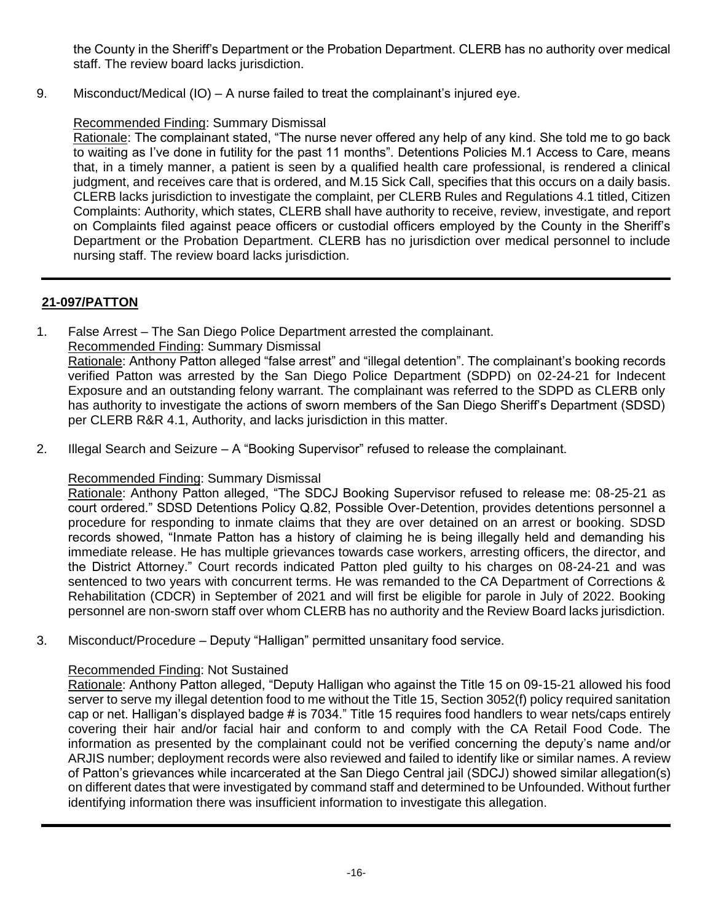the County in the Sheriff's Department or the Probation Department. CLERB has no authority over medical staff. The review board lacks jurisdiction.

9. Misconduct/Medical (IO) – A nurse failed to treat the complainant's injured eye.

## Recommended Finding: Summary Dismissal

Rationale: The complainant stated, "The nurse never offered any help of any kind. She told me to go back to waiting as I've done in futility for the past 11 months". Detentions Policies M.1 Access to Care, means that, in a timely manner, a patient is seen by a qualified health care professional, is rendered a clinical judgment, and receives care that is ordered, and M.15 Sick Call, specifies that this occurs on a daily basis. CLERB lacks jurisdiction to investigate the complaint, per CLERB Rules and Regulations 4.1 titled, Citizen Complaints: Authority, which states, CLERB shall have authority to receive, review, investigate, and report on Complaints filed against peace officers or custodial officers employed by the County in the Sheriff's Department or the Probation Department. CLERB has no jurisdiction over medical personnel to include nursing staff. The review board lacks jurisdiction.

# **21-097/PATTON**

1. False Arrest – The San Diego Police Department arrested the complainant.

## Recommended Finding: Summary Dismissal

Rationale: Anthony Patton alleged "false arrest" and "illegal detention". The complainant's booking records verified Patton was arrested by the San Diego Police Department (SDPD) on 02-24-21 for Indecent Exposure and an outstanding felony warrant. The complainant was referred to the SDPD as CLERB only has authority to investigate the actions of sworn members of the San Diego Sheriff's Department (SDSD) per CLERB R&R 4.1, Authority, and lacks jurisdiction in this matter.

2. Illegal Search and Seizure – A "Booking Supervisor" refused to release the complainant.

## Recommended Finding: Summary Dismissal

Rationale: Anthony Patton alleged, "The SDCJ Booking Supervisor refused to release me: 08-25-21 as court ordered." SDSD Detentions Policy Q.82, Possible Over-Detention, provides detentions personnel a procedure for responding to inmate claims that they are over detained on an arrest or booking. SDSD records showed, "Inmate Patton has a history of claiming he is being illegally held and demanding his immediate release. He has multiple grievances towards case workers, arresting officers, the director, and the District Attorney." Court records indicated Patton pled guilty to his charges on 08-24-21 and was sentenced to two years with concurrent terms. He was remanded to the CA Department of Corrections & Rehabilitation (CDCR) in September of 2021 and will first be eligible for parole in July of 2022. Booking personnel are non-sworn staff over whom CLERB has no authority and the Review Board lacks jurisdiction.

3. Misconduct/Procedure – Deputy "Halligan" permitted unsanitary food service.

## Recommended Finding: Not Sustained

Rationale: Anthony Patton alleged, "Deputy Halligan who against the Title 15 on 09-15-21 allowed his food server to serve my illegal detention food to me without the Title 15, Section 3052(f) policy required sanitation cap or net. Halligan's displayed badge # is 7034." Title 15 requires food handlers to wear nets/caps entirely covering their hair and/or facial hair and conform to and comply with the CA Retail Food Code. The information as presented by the complainant could not be verified concerning the deputy's name and/or ARJIS number; deployment records were also reviewed and failed to identify like or similar names. A review of Patton's grievances while incarcerated at the San Diego Central jail (SDCJ) showed similar allegation(s) on different dates that were investigated by command staff and determined to be Unfounded. Without further identifying information there was insufficient information to investigate this allegation.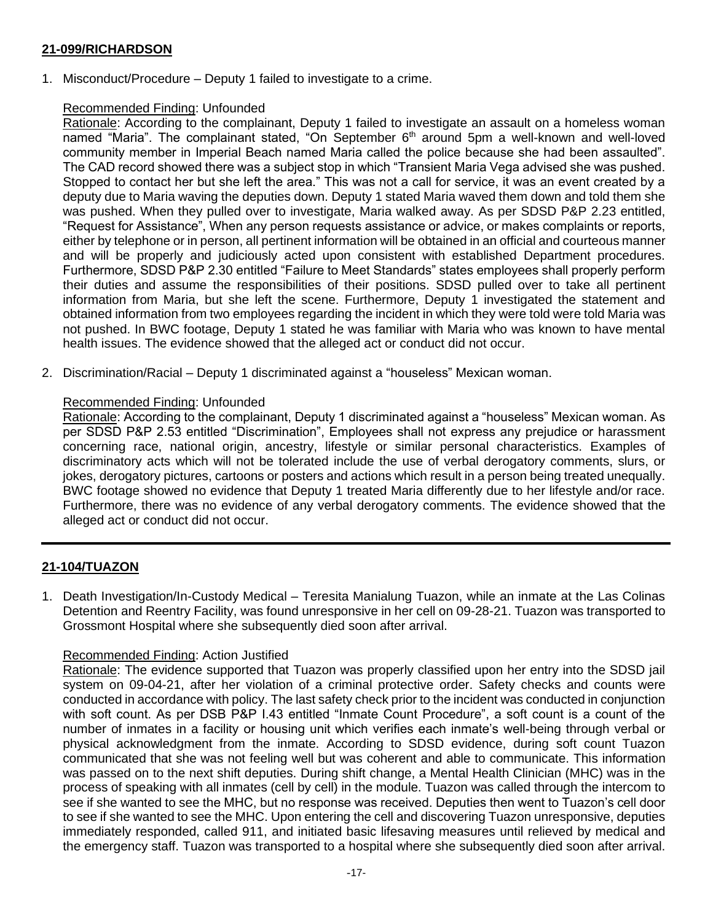## **21-099/RICHARDSON**

1. Misconduct/Procedure – Deputy 1 failed to investigate to a crime.

## Recommended Finding: Unfounded

Rationale: According to the complainant, Deputy 1 failed to investigate an assault on a homeless woman named "Maria". The complainant stated, "On September  $6<sup>th</sup>$  around 5pm a well-known and well-loved community member in Imperial Beach named Maria called the police because she had been assaulted". The CAD record showed there was a subject stop in which "Transient Maria Vega advised she was pushed. Stopped to contact her but she left the area." This was not a call for service, it was an event created by a deputy due to Maria waving the deputies down. Deputy 1 stated Maria waved them down and told them she was pushed. When they pulled over to investigate, Maria walked away. As per SDSD P&P 2.23 entitled, "Request for Assistance", When any person requests assistance or advice, or makes complaints or reports, either by telephone or in person, all pertinent information will be obtained in an official and courteous manner and will be properly and judiciously acted upon consistent with established Department procedures. Furthermore, SDSD P&P 2.30 entitled "Failure to Meet Standards" states employees shall properly perform their duties and assume the responsibilities of their positions. SDSD pulled over to take all pertinent information from Maria, but she left the scene. Furthermore, Deputy 1 investigated the statement and obtained information from two employees regarding the incident in which they were told were told Maria was not pushed. In BWC footage, Deputy 1 stated he was familiar with Maria who was known to have mental health issues. The evidence showed that the alleged act or conduct did not occur.

2. Discrimination/Racial – Deputy 1 discriminated against a "houseless" Mexican woman.

#### Recommended Finding: Unfounded

Rationale: According to the complainant, Deputy 1 discriminated against a "houseless" Mexican woman. As per SDSD P&P 2.53 entitled "Discrimination", Employees shall not express any prejudice or harassment concerning race, national origin, ancestry, lifestyle or similar personal characteristics. Examples of discriminatory acts which will not be tolerated include the use of verbal derogatory comments, slurs, or jokes, derogatory pictures, cartoons or posters and actions which result in a person being treated unequally. BWC footage showed no evidence that Deputy 1 treated Maria differently due to her lifestyle and/or race. Furthermore, there was no evidence of any verbal derogatory comments. The evidence showed that the alleged act or conduct did not occur.

## **21-104/TUAZON**

1. Death Investigation/In-Custody Medical – Teresita Manialung Tuazon, while an inmate at the Las Colinas Detention and Reentry Facility, was found unresponsive in her cell on 09-28-21. Tuazon was transported to Grossmont Hospital where she subsequently died soon after arrival.

#### Recommended Finding: Action Justified

Rationale: The evidence supported that Tuazon was properly classified upon her entry into the SDSD jail system on 09-04-21, after her violation of a criminal protective order. Safety checks and counts were conducted in accordance with policy. The last safety check prior to the incident was conducted in conjunction with soft count. As per DSB P&P I.43 entitled "Inmate Count Procedure", a soft count is a count of the number of inmates in a facility or housing unit which verifies each inmate's well-being through verbal or physical acknowledgment from the inmate. According to SDSD evidence, during soft count Tuazon communicated that she was not feeling well but was coherent and able to communicate. This information was passed on to the next shift deputies. During shift change, a Mental Health Clinician (MHC) was in the process of speaking with all inmates (cell by cell) in the module. Tuazon was called through the intercom to see if she wanted to see the MHC, but no response was received. Deputies then went to Tuazon's cell door to see if she wanted to see the MHC. Upon entering the cell and discovering Tuazon unresponsive, deputies immediately responded, called 911, and initiated basic lifesaving measures until relieved by medical and the emergency staff. Tuazon was transported to a hospital where she subsequently died soon after arrival.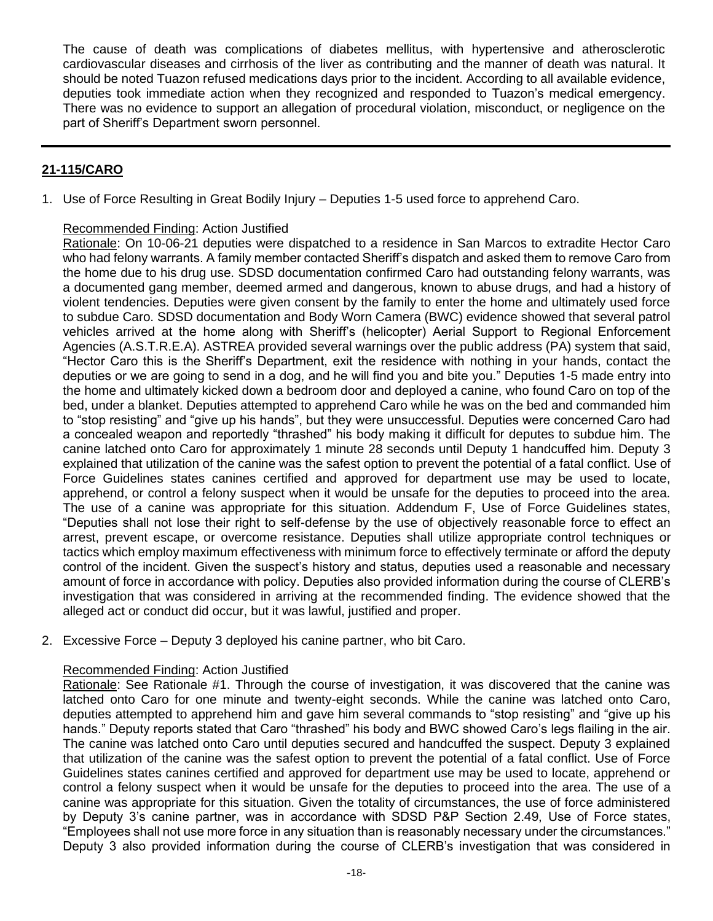The cause of death was complications of diabetes mellitus, with hypertensive and atherosclerotic cardiovascular diseases and cirrhosis of the liver as contributing and the manner of death was natural. It should be noted Tuazon refused medications days prior to the incident. According to all available evidence, deputies took immediate action when they recognized and responded to Tuazon's medical emergency. There was no evidence to support an allegation of procedural violation, misconduct, or negligence on the part of Sheriff's Department sworn personnel.

## **21-115/CARO**

1. Use of Force Resulting in Great Bodily Injury – Deputies 1-5 used force to apprehend Caro.

#### Recommended Finding: Action Justified

Rationale: On 10-06-21 deputies were dispatched to a residence in San Marcos to extradite Hector Caro who had felony warrants. A family member contacted Sheriff's dispatch and asked them to remove Caro from the home due to his drug use. SDSD documentation confirmed Caro had outstanding felony warrants, was a documented gang member, deemed armed and dangerous, known to abuse drugs, and had a history of violent tendencies. Deputies were given consent by the family to enter the home and ultimately used force to subdue Caro. SDSD documentation and Body Worn Camera (BWC) evidence showed that several patrol vehicles arrived at the home along with Sheriff's (helicopter) Aerial Support to Regional Enforcement Agencies (A.S.T.R.E.A). ASTREA provided several warnings over the public address (PA) system that said, "Hector Caro this is the Sheriff's Department, exit the residence with nothing in your hands, contact the deputies or we are going to send in a dog, and he will find you and bite you." Deputies 1-5 made entry into the home and ultimately kicked down a bedroom door and deployed a canine, who found Caro on top of the bed, under a blanket. Deputies attempted to apprehend Caro while he was on the bed and commanded him to "stop resisting" and "give up his hands", but they were unsuccessful. Deputies were concerned Caro had a concealed weapon and reportedly "thrashed" his body making it difficult for deputes to subdue him. The canine latched onto Caro for approximately 1 minute 28 seconds until Deputy 1 handcuffed him. Deputy 3 explained that utilization of the canine was the safest option to prevent the potential of a fatal conflict. Use of Force Guidelines states canines certified and approved for department use may be used to locate, apprehend, or control a felony suspect when it would be unsafe for the deputies to proceed into the area. The use of a canine was appropriate for this situation. Addendum F, Use of Force Guidelines states, "Deputies shall not lose their right to self-defense by the use of objectively reasonable force to effect an arrest, prevent escape, or overcome resistance. Deputies shall utilize appropriate control techniques or tactics which employ maximum effectiveness with minimum force to effectively terminate or afford the deputy control of the incident. Given the suspect's history and status, deputies used a reasonable and necessary amount of force in accordance with policy. Deputies also provided information during the course of CLERB's investigation that was considered in arriving at the recommended finding. The evidence showed that the alleged act or conduct did occur, but it was lawful, justified and proper.

2. Excessive Force – Deputy 3 deployed his canine partner, who bit Caro.

#### Recommended Finding: Action Justified

Rationale: See Rationale #1. Through the course of investigation, it was discovered that the canine was latched onto Caro for one minute and twenty-eight seconds. While the canine was latched onto Caro, deputies attempted to apprehend him and gave him several commands to "stop resisting" and "give up his hands." Deputy reports stated that Caro "thrashed" his body and BWC showed Caro's legs flailing in the air. The canine was latched onto Caro until deputies secured and handcuffed the suspect. Deputy 3 explained that utilization of the canine was the safest option to prevent the potential of a fatal conflict. Use of Force Guidelines states canines certified and approved for department use may be used to locate, apprehend or control a felony suspect when it would be unsafe for the deputies to proceed into the area. The use of a canine was appropriate for this situation. Given the totality of circumstances, the use of force administered by Deputy 3's canine partner, was in accordance with SDSD P&P Section 2.49, Use of Force states, "Employees shall not use more force in any situation than is reasonably necessary under the circumstances." Deputy 3 also provided information during the course of CLERB's investigation that was considered in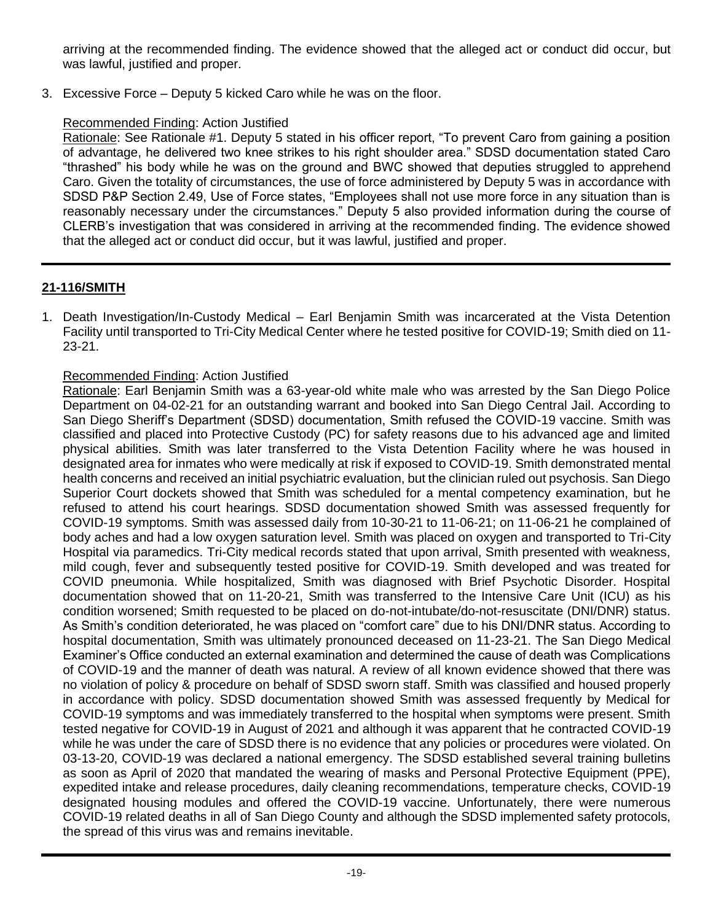arriving at the recommended finding. The evidence showed that the alleged act or conduct did occur, but was lawful, justified and proper.

3. Excessive Force – Deputy 5 kicked Caro while he was on the floor.

## Recommended Finding: Action Justified

Rationale: See Rationale #1. Deputy 5 stated in his officer report, "To prevent Caro from gaining a position of advantage, he delivered two knee strikes to his right shoulder area." SDSD documentation stated Caro "thrashed" his body while he was on the ground and BWC showed that deputies struggled to apprehend Caro. Given the totality of circumstances, the use of force administered by Deputy 5 was in accordance with SDSD P&P Section 2.49, Use of Force states, "Employees shall not use more force in any situation than is reasonably necessary under the circumstances." Deputy 5 also provided information during the course of CLERB's investigation that was considered in arriving at the recommended finding. The evidence showed that the alleged act or conduct did occur, but it was lawful, justified and proper.

# **21-116/SMITH**

1. Death Investigation/In-Custody Medical – Earl Benjamin Smith was incarcerated at the Vista Detention Facility until transported to Tri-City Medical Center where he tested positive for COVID-19; Smith died on 11- 23-21.

## Recommended Finding: Action Justified

Rationale: Earl Benjamin Smith was a 63-year-old white male who was arrested by the San Diego Police Department on 04-02-21 for an outstanding warrant and booked into San Diego Central Jail. According to San Diego Sheriff's Department (SDSD) documentation, Smith refused the COVID-19 vaccine. Smith was classified and placed into Protective Custody (PC) for safety reasons due to his advanced age and limited physical abilities. Smith was later transferred to the Vista Detention Facility where he was housed in designated area for inmates who were medically at risk if exposed to COVID-19. Smith demonstrated mental health concerns and received an initial psychiatric evaluation, but the clinician ruled out psychosis. San Diego Superior Court dockets showed that Smith was scheduled for a mental competency examination, but he refused to attend his court hearings. SDSD documentation showed Smith was assessed frequently for COVID-19 symptoms. Smith was assessed daily from 10-30-21 to 11-06-21; on 11-06-21 he complained of body aches and had a low oxygen saturation level. Smith was placed on oxygen and transported to Tri-City Hospital via paramedics. Tri-City medical records stated that upon arrival, Smith presented with weakness, mild cough, fever and subsequently tested positive for COVID-19. Smith developed and was treated for COVID pneumonia. While hospitalized, Smith was diagnosed with Brief Psychotic Disorder. Hospital documentation showed that on 11-20-21, Smith was transferred to the Intensive Care Unit (ICU) as his condition worsened; Smith requested to be placed on do-not-intubate/do-not-resuscitate (DNI/DNR) status. As Smith's condition deteriorated, he was placed on "comfort care" due to his DNI/DNR status. According to hospital documentation, Smith was ultimately pronounced deceased on 11-23-21. The San Diego Medical Examiner's Office conducted an external examination and determined the cause of death was Complications of COVID-19 and the manner of death was natural. A review of all known evidence showed that there was no violation of policy & procedure on behalf of SDSD sworn staff. Smith was classified and housed properly in accordance with policy. SDSD documentation showed Smith was assessed frequently by Medical for COVID-19 symptoms and was immediately transferred to the hospital when symptoms were present. Smith tested negative for COVID-19 in August of 2021 and although it was apparent that he contracted COVID-19 while he was under the care of SDSD there is no evidence that any policies or procedures were violated. On 03-13-20, COVID-19 was declared a national emergency. The SDSD established several training bulletins as soon as April of 2020 that mandated the wearing of masks and Personal Protective Equipment (PPE), expedited intake and release procedures, daily cleaning recommendations, temperature checks, COVID-19 designated housing modules and offered the COVID-19 vaccine. Unfortunately, there were numerous COVID-19 related deaths in all of San Diego County and although the SDSD implemented safety protocols, the spread of this virus was and remains inevitable.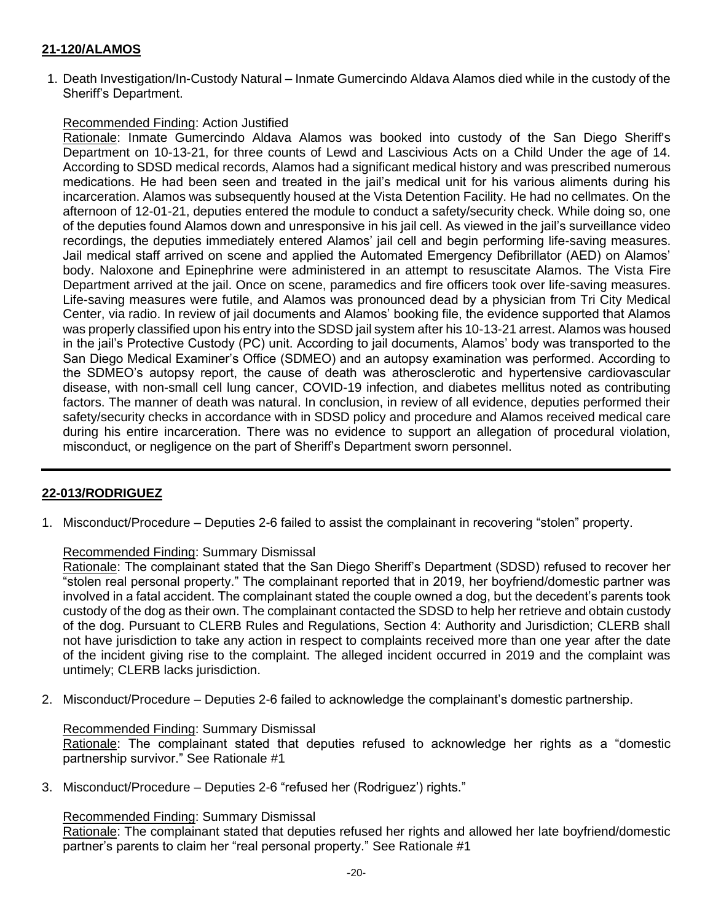## **21-120/ALAMOS**

1. Death Investigation/In-Custody Natural – Inmate Gumercindo Aldava Alamos died while in the custody of the Sheriff's Department.

#### Recommended Finding: Action Justified

Rationale: Inmate Gumercindo Aldava Alamos was booked into custody of the San Diego Sheriff's Department on 10-13-21, for three counts of Lewd and Lascivious Acts on a Child Under the age of 14. According to SDSD medical records, Alamos had a significant medical history and was prescribed numerous medications. He had been seen and treated in the jail's medical unit for his various aliments during his incarceration. Alamos was subsequently housed at the Vista Detention Facility. He had no cellmates. On the afternoon of 12-01-21, deputies entered the module to conduct a safety/security check. While doing so, one of the deputies found Alamos down and unresponsive in his jail cell. As viewed in the jail's surveillance video recordings, the deputies immediately entered Alamos' jail cell and begin performing life-saving measures. Jail medical staff arrived on scene and applied the Automated Emergency Defibrillator (AED) on Alamos' body. Naloxone and Epinephrine were administered in an attempt to resuscitate Alamos. The Vista Fire Department arrived at the jail. Once on scene, paramedics and fire officers took over life-saving measures. Life-saving measures were futile, and Alamos was pronounced dead by a physician from Tri City Medical Center, via radio. In review of jail documents and Alamos' booking file, the evidence supported that Alamos was properly classified upon his entry into the SDSD jail system after his 10-13-21 arrest. Alamos was housed in the jail's Protective Custody (PC) unit. According to jail documents, Alamos' body was transported to the San Diego Medical Examiner's Office (SDMEO) and an autopsy examination was performed. According to the SDMEO's autopsy report, the cause of death was atherosclerotic and hypertensive cardiovascular disease, with non-small cell lung cancer, COVID-19 infection, and diabetes mellitus noted as contributing factors. The manner of death was natural. In conclusion, in review of all evidence, deputies performed their safety/security checks in accordance with in SDSD policy and procedure and Alamos received medical care during his entire incarceration. There was no evidence to support an allegation of procedural violation, misconduct, or negligence on the part of Sheriff's Department sworn personnel.

#### **22-013/RODRIGUEZ**

1. Misconduct/Procedure – Deputies 2-6 failed to assist the complainant in recovering "stolen" property.

#### Recommended Finding: Summary Dismissal

Rationale: The complainant stated that the San Diego Sheriff's Department (SDSD) refused to recover her "stolen real personal property." The complainant reported that in 2019, her boyfriend/domestic partner was involved in a fatal accident. The complainant stated the couple owned a dog, but the decedent's parents took custody of the dog as their own. The complainant contacted the SDSD to help her retrieve and obtain custody of the dog. Pursuant to CLERB Rules and Regulations, Section 4: Authority and Jurisdiction; CLERB shall not have jurisdiction to take any action in respect to complaints received more than one year after the date of the incident giving rise to the complaint. The alleged incident occurred in 2019 and the complaint was untimely; CLERB lacks jurisdiction.

2. Misconduct/Procedure – Deputies 2-6 failed to acknowledge the complainant's domestic partnership.

#### Recommended Finding: Summary Dismissal

Rationale: The complainant stated that deputies refused to acknowledge her rights as a "domestic partnership survivor." See Rationale #1

3. Misconduct/Procedure – Deputies 2-6 "refused her (Rodriguez') rights."

#### Recommended Finding: Summary Dismissal

Rationale: The complainant stated that deputies refused her rights and allowed her late boyfriend/domestic partner's parents to claim her "real personal property." See Rationale #1